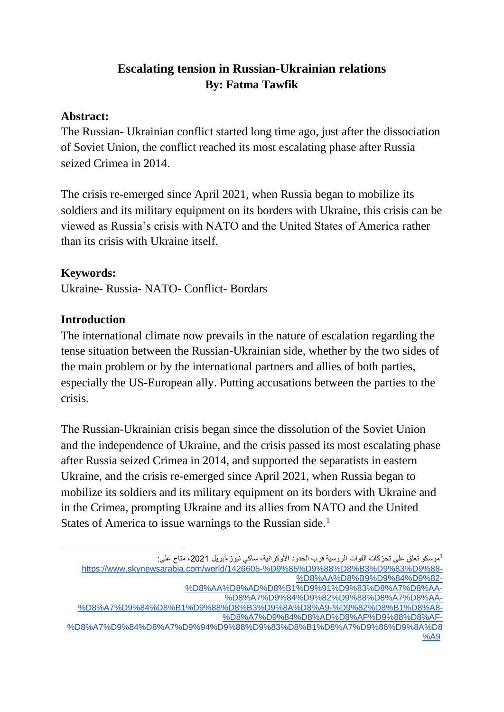# **Escalating tension in Russian-Ukrainian relations By: Fatma Tawfik**

#### **Abstract:**

The Russian- Ukrainian conflict started long time ago, just after the dissociation of Soviet Union, the conflict reached its most escalating phase after Russia seized Crimea in 2014.

The crisis re-emerged since April 2021, when Russia began to mobilize its soldiers and its military equipment on its borders with Ukraine, this crisis can be viewed as Russia's crisis with NATO and the United States of America rather than its crisis with Ukraine itself.

### **Keywords:**

Ukraine- Russia- NATO- Conflict- Bordars

### **Introduction**

The international climate now prevails in the nature of escalation regarding the tense situation between the Russian-Ukrainian side, whether by the two sides of the main problem or by the international partners and allies of both parties, especially the US-European ally. Putting accusations between the parties to the crisis.

The Russian-Ukrainian crisis began since the dissolution of the Soviet Union and the independence of Ukraine, and the crisis passed its most escalating phase after Russia seized Crimea in 2014, and supported the separatists in eastern Ukraine, and the crisis re-emerged since April 2021, when Russia began to mobilize its soldiers and its military equipment on its borders with Ukraine and in the Crimea, prompting Ukraine and its allies from NATO and the United States of America to issue warnings to the Russian side.<sup>1</sup>

1موسكو تعلق على تحرّكات القوات الروسية قرب الحدود الأوكرانية، ساكي نيوز ،أبريل 2021، متاح على:

[%D8%A7%D9%84%D8%A7%D9%94%D9%88%D9%83%D8%B1%D8%A7%D9%86%D9%8A%D8](https://www.skynewsarabia.com/world/1426605-%D9%85%D9%88%D8%B3%D9%83%D9%88-%D8%AA%D8%B9%D9%84%D9%82-%D8%AA%D8%AD%D8%B1%D9%91%D9%83%D8%A7%D8%AA-%D8%A7%D9%84%D9%82%D9%88%D8%A7%D8%AA-%D8%A7%D9%84%D8%B1%D9%88%D8%B3%D9%8A%D8%A9-%D9%82%D8%B1%D8%A8-%D8%A7%D9%84%D8%AD%D8%AF%D9%88%D8%AF-%D8%A7%D9%84%D8%A7%D9%94%D9%88%D9%83%D8%B1%D8%A7%D9%86%D9%8A%D8%A9) [%A9](https://www.skynewsarabia.com/world/1426605-%D9%85%D9%88%D8%B3%D9%83%D9%88-%D8%AA%D8%B9%D9%84%D9%82-%D8%AA%D8%AD%D8%B1%D9%91%D9%83%D8%A7%D8%AA-%D8%A7%D9%84%D9%82%D9%88%D8%A7%D8%AA-%D8%A7%D9%84%D8%B1%D9%88%D8%B3%D9%8A%D8%A9-%D9%82%D8%B1%D8%A8-%D8%A7%D9%84%D8%AD%D8%AF%D9%88%D8%AF-%D8%A7%D9%84%D8%A7%D9%94%D9%88%D9%83%D8%B1%D8%A7%D9%86%D9%8A%D8%A9)

[https://www.skynewsarabia.com/world/1426605-%D9%85%D9%88%D8%B3%D9%83%D9%88-](https://www.skynewsarabia.com/world/1426605-%D9%85%D9%88%D8%B3%D9%83%D9%88-%D8%AA%D8%B9%D9%84%D9%82-%D8%AA%D8%AD%D8%B1%D9%91%D9%83%D8%A7%D8%AA-%D8%A7%D9%84%D9%82%D9%88%D8%A7%D8%AA-%D8%A7%D9%84%D8%B1%D9%88%D8%B3%D9%8A%D8%A9-%D9%82%D8%B1%D8%A8-%D8%A7%D9%84%D8%AD%D8%AF%D9%88%D8%AF-%D8%A7%D9%84%D8%A7%D9%94%D9%88%D9%83%D8%B1%D8%A7%D9%86%D9%8A%D8%A9) [%D8%AA%D8%B9%D9%84%D9%82-](https://www.skynewsarabia.com/world/1426605-%D9%85%D9%88%D8%B3%D9%83%D9%88-%D8%AA%D8%B9%D9%84%D9%82-%D8%AA%D8%AD%D8%B1%D9%91%D9%83%D8%A7%D8%AA-%D8%A7%D9%84%D9%82%D9%88%D8%A7%D8%AA-%D8%A7%D9%84%D8%B1%D9%88%D8%B3%D9%8A%D8%A9-%D9%82%D8%B1%D8%A8-%D8%A7%D9%84%D8%AD%D8%AF%D9%88%D8%AF-%D8%A7%D9%84%D8%A7%D9%94%D9%88%D9%83%D8%B1%D8%A7%D9%86%D9%8A%D8%A9) [%D8%AA%D8%AD%D8%B1%D9%91%D9%83%D8%A7%D8%AA-](https://www.skynewsarabia.com/world/1426605-%D9%85%D9%88%D8%B3%D9%83%D9%88-%D8%AA%D8%B9%D9%84%D9%82-%D8%AA%D8%AD%D8%B1%D9%91%D9%83%D8%A7%D8%AA-%D8%A7%D9%84%D9%82%D9%88%D8%A7%D8%AA-%D8%A7%D9%84%D8%B1%D9%88%D8%B3%D9%8A%D8%A9-%D9%82%D8%B1%D8%A8-%D8%A7%D9%84%D8%AD%D8%AF%D9%88%D8%AF-%D8%A7%D9%84%D8%A7%D9%94%D9%88%D9%83%D8%B1%D8%A7%D9%86%D9%8A%D8%A9)

[<sup>%</sup>D8%A7%D9%84%D9%82%D9%88%D8%A7%D8%AA-](https://www.skynewsarabia.com/world/1426605-%D9%85%D9%88%D8%B3%D9%83%D9%88-%D8%AA%D8%B9%D9%84%D9%82-%D8%AA%D8%AD%D8%B1%D9%91%D9%83%D8%A7%D8%AA-%D8%A7%D9%84%D9%82%D9%88%D8%A7%D8%AA-%D8%A7%D9%84%D8%B1%D9%88%D8%B3%D9%8A%D8%A9-%D9%82%D8%B1%D8%A8-%D8%A7%D9%84%D8%AD%D8%AF%D9%88%D8%AF-%D8%A7%D9%84%D8%A7%D9%94%D9%88%D9%83%D8%B1%D8%A7%D9%86%D9%8A%D8%A9)

[<sup>%</sup>D8%A7%D9%84%D8%B1%D9%88%D8%B3%D9%8A%D8%A9-%D9%82%D8%B1%D8%A8-](https://www.skynewsarabia.com/world/1426605-%D9%85%D9%88%D8%B3%D9%83%D9%88-%D8%AA%D8%B9%D9%84%D9%82-%D8%AA%D8%AD%D8%B1%D9%91%D9%83%D8%A7%D8%AA-%D8%A7%D9%84%D9%82%D9%88%D8%A7%D8%AA-%D8%A7%D9%84%D8%B1%D9%88%D8%B3%D9%8A%D8%A9-%D9%82%D8%B1%D8%A8-%D8%A7%D9%84%D8%AD%D8%AF%D9%88%D8%AF-%D8%A7%D9%84%D8%A7%D9%94%D9%88%D9%83%D8%B1%D8%A7%D9%86%D9%8A%D8%A9) [%D8%A7%D9%84%D8%AD%D8%AF%D9%88%D8%AF-](https://www.skynewsarabia.com/world/1426605-%D9%85%D9%88%D8%B3%D9%83%D9%88-%D8%AA%D8%B9%D9%84%D9%82-%D8%AA%D8%AD%D8%B1%D9%91%D9%83%D8%A7%D8%AA-%D8%A7%D9%84%D9%82%D9%88%D8%A7%D8%AA-%D8%A7%D9%84%D8%B1%D9%88%D8%B3%D9%8A%D8%A9-%D9%82%D8%B1%D8%A8-%D8%A7%D9%84%D8%AD%D8%AF%D9%88%D8%AF-%D8%A7%D9%84%D8%A7%D9%94%D9%88%D9%83%D8%B1%D8%A7%D9%86%D9%8A%D8%A9)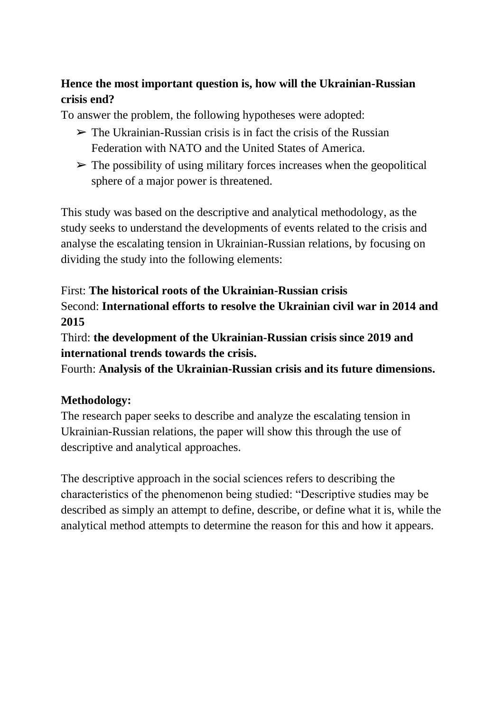### **Hence the most important question is, how will the Ukrainian-Russian crisis end?**

To answer the problem, the following hypotheses were adopted:

- $\triangleright$  The Ukrainian-Russian crisis is in fact the crisis of the Russian Federation with NATO and the United States of America.
- $\triangleright$  The possibility of using military forces increases when the geopolitical sphere of a major power is threatened.

This study was based on the descriptive and analytical methodology, as the study seeks to understand the developments of events related to the crisis and analyse the escalating tension in Ukrainian-Russian relations, by focusing on dividing the study into the following elements:

# First: **The historical roots of the Ukrainian-Russian crisis**

Second: **International efforts to resolve the Ukrainian civil war in 2014 and 2015**

Third: **the development of the Ukrainian-Russian crisis since 2019 and international trends towards the crisis.** 

Fourth: **Analysis of the Ukrainian-Russian crisis and its future dimensions.**

#### **Methodology:**

The research paper seeks to describe and analyze the escalating tension in Ukrainian-Russian relations, the paper will show this through the use of descriptive and analytical approaches.

The descriptive approach in the social sciences refers to describing the characteristics of the phenomenon being studied: "Descriptive studies may be described as simply an attempt to define, describe, or define what it is, while the analytical method attempts to determine the reason for this and how it appears.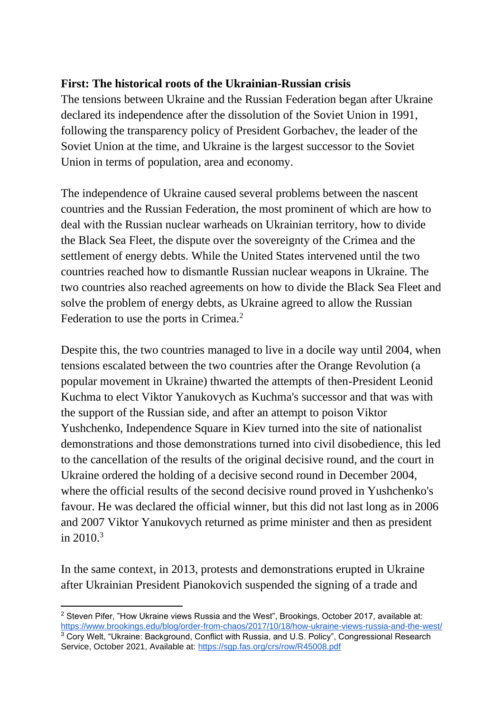### **First: The historical roots of the Ukrainian-Russian crisis**

The tensions between Ukraine and the Russian Federation began after Ukraine declared its independence after the dissolution of the Soviet Union in 1991, following the transparency policy of President Gorbachev, the leader of the Soviet Union at the time, and Ukraine is the largest successor to the Soviet Union in terms of population, area and economy.

The independence of Ukraine caused several problems between the nascent countries and the Russian Federation, the most prominent of which are how to deal with the Russian nuclear warheads on Ukrainian territory, how to divide the Black Sea Fleet, the dispute over the sovereignty of the Crimea and the settlement of energy debts. While the United States intervened until the two countries reached how to dismantle Russian nuclear weapons in Ukraine. The two countries also reached agreements on how to divide the Black Sea Fleet and solve the problem of energy debts, as Ukraine agreed to allow the Russian Federation to use the ports in Crimea.<sup>2</sup>

Despite this, the two countries managed to live in a docile way until 2004, when tensions escalated between the two countries after the Orange Revolution (a popular movement in Ukraine) thwarted the attempts of then-President Leonid Kuchma to elect Viktor Yanukovych as Kuchma's successor and that was with the support of the Russian side, and after an attempt to poison Viktor Yushchenko, Independence Square in Kiev turned into the site of nationalist demonstrations and those demonstrations turned into civil disobedience, this led to the cancellation of the results of the original decisive round, and the court in Ukraine ordered the holding of a decisive second round in December 2004, where the official results of the second decisive round proved in Yushchenko's favour. He was declared the official winner, but this did not last long as in 2006 and 2007 Viktor Yanukovych returned as prime minister and then as president in  $2010^{3}$ 

In the same context, in 2013, protests and demonstrations erupted in Ukraine after Ukrainian President Pianokovich suspended the signing of a trade and

 $2$  Steven Pifer, "How Ukraine views Russia and the West", Brookings, October 2017, available at: <https://www.brookings.edu/blog/order-from-chaos/2017/10/18/how-ukraine-views-russia-and-the-west/> <sup>3</sup> Cory Welt, "Ukraine: Background, Conflict with Russia, and U.S. Policy", Congressional Research Service, October 2021, Available at:<https://sgp.fas.org/crs/row/R45008.pdf>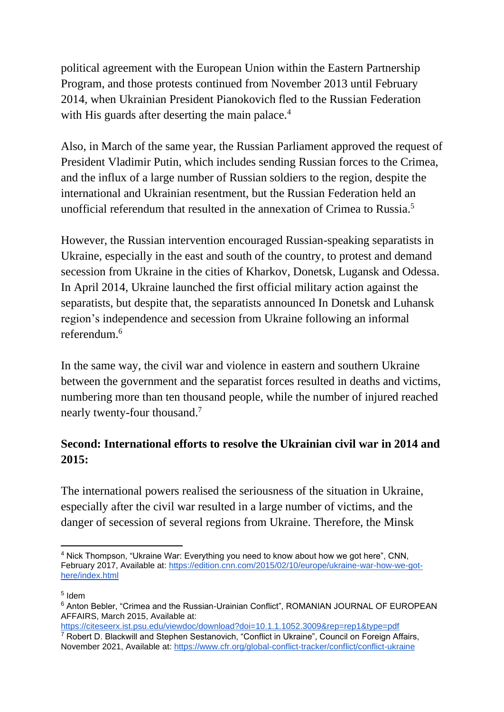political agreement with the European Union within the Eastern Partnership Program, and those protests continued from November 2013 until February 2014, when Ukrainian President Pianokovich fled to the Russian Federation with His guards after deserting the main palace.<sup>4</sup>

Also, in March of the same year, the Russian Parliament approved the request of President Vladimir Putin, which includes sending Russian forces to the Crimea, and the influx of a large number of Russian soldiers to the region, despite the international and Ukrainian resentment, but the Russian Federation held an unofficial referendum that resulted in the annexation of Crimea to Russia.<sup>5</sup>

However, the Russian intervention encouraged Russian-speaking separatists in Ukraine, especially in the east and south of the country, to protest and demand secession from Ukraine in the cities of Kharkov, Donetsk, Lugansk and Odessa. In April 2014, Ukraine launched the first official military action against the separatists, but despite that, the separatists announced In Donetsk and Luhansk region's independence and secession from Ukraine following an informal referendum.<sup>6</sup>

In the same way, the civil war and violence in eastern and southern Ukraine between the government and the separatist forces resulted in deaths and victims, numbering more than ten thousand people, while the number of injured reached nearly twenty-four thousand.<sup>7</sup>

### **Second: International efforts to resolve the Ukrainian civil war in 2014 and 2015:**

The international powers realised the seriousness of the situation in Ukraine, especially after the civil war resulted in a large number of victims, and the danger of secession of several regions from Ukraine. Therefore, the Minsk

<sup>&</sup>lt;sup>4</sup> Nick Thompson, "Ukraine War: Everything you need to know about how we got here", CNN, February 2017, Available at: [https://edition.cnn.com/2015/02/10/europe/ukraine-war-how-we-got](https://edition.cnn.com/2015/02/10/europe/ukraine-war-how-we-got-here/index.html)[here/index.html](https://edition.cnn.com/2015/02/10/europe/ukraine-war-how-we-got-here/index.html)

<sup>5</sup> Idem

<sup>&</sup>lt;sup>6</sup> Anton Bebler, "Crimea and the Russian-Urainian Conflict", ROMANIAN JOURNAL OF EUROPEAN AFFAIRS, March 2015, Available at:

<https://citeseerx.ist.psu.edu/viewdoc/download?doi=10.1.1.1052.3009&rep=rep1&type=pdf>  $\overline{7}$  Robert D. Blackwill and Stephen Sestanovich, "Conflict in Ukraine", Council on Foreign Affairs, November 2021, Available at:<https://www.cfr.org/global-conflict-tracker/conflict/conflict-ukraine>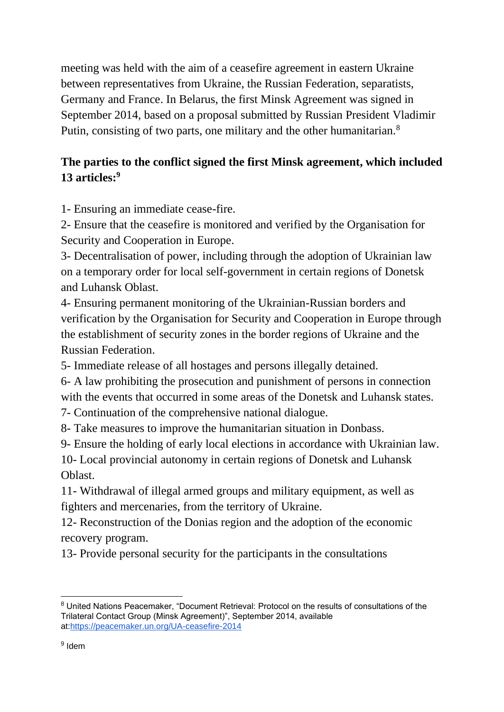meeting was held with the aim of a ceasefire agreement in eastern Ukraine between representatives from Ukraine, the Russian Federation, separatists, Germany and France. In Belarus, the first Minsk Agreement was signed in September 2014, based on a proposal submitted by Russian President Vladimir Putin, consisting of two parts, one military and the other humanitarian.<sup>8</sup>

### **The parties to the conflict signed the first Minsk agreement, which included 13 articles:<sup>9</sup>**

1- Ensuring an immediate cease-fire.

2- Ensure that the ceasefire is monitored and verified by the Organisation for Security and Cooperation in Europe.

3- Decentralisation of power, including through the adoption of Ukrainian law on a temporary order for local self-government in certain regions of Donetsk and Luhansk Oblast.

4- Ensuring permanent monitoring of the Ukrainian-Russian borders and verification by the Organisation for Security and Cooperation in Europe through the establishment of security zones in the border regions of Ukraine and the Russian Federation.

5- Immediate release of all hostages and persons illegally detained.

6- A law prohibiting the prosecution and punishment of persons in connection with the events that occurred in some areas of the Donetsk and Luhansk states.

7- Continuation of the comprehensive national dialogue.

8- Take measures to improve the humanitarian situation in Donbass.

9- Ensure the holding of early local elections in accordance with Ukrainian law.

10- Local provincial autonomy in certain regions of Donetsk and Luhansk Oblast.

11- Withdrawal of illegal armed groups and military equipment, as well as fighters and mercenaries, from the territory of Ukraine.

12- Reconstruction of the Donias region and the adoption of the economic recovery program.

13- Provide personal security for the participants in the consultations

<sup>8</sup> United Nations Peacemaker, "Document Retrieval: Protocol on the results of consultations of the Trilateral Contact Group (Minsk Agreement)", September 2014, available at[:https://peacemaker.un.org/UA-ceasefire-2014](https://peacemaker.un.org/UA-ceasefire-2014)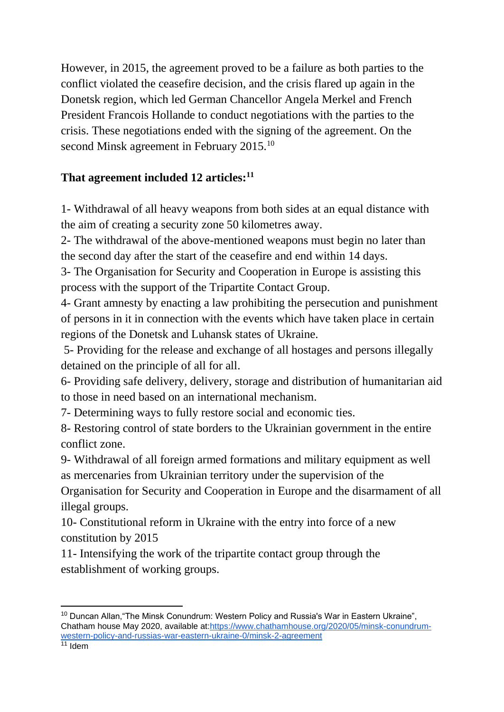However, in 2015, the agreement proved to be a failure as both parties to the conflict violated the ceasefire decision, and the crisis flared up again in the Donetsk region, which led German Chancellor Angela Merkel and French President Francois Hollande to conduct negotiations with the parties to the crisis. These negotiations ended with the signing of the agreement. On the second Minsk agreement in February 2015.<sup>10</sup>

### **That agreement included 12 articles:<sup>11</sup>**

1- Withdrawal of all heavy weapons from both sides at an equal distance with the aim of creating a security zone 50 kilometres away.

2- The withdrawal of the above-mentioned weapons must begin no later than the second day after the start of the ceasefire and end within 14 days.

3- The Organisation for Security and Cooperation in Europe is assisting this process with the support of the Tripartite Contact Group.

4- Grant amnesty by enacting a law prohibiting the persecution and punishment of persons in it in connection with the events which have taken place in certain regions of the Donetsk and Luhansk states of Ukraine.

5- Providing for the release and exchange of all hostages and persons illegally detained on the principle of all for all.

6- Providing safe delivery, delivery, storage and distribution of humanitarian aid to those in need based on an international mechanism.

7- Determining ways to fully restore social and economic ties.

8- Restoring control of state borders to the Ukrainian government in the entire conflict zone.

9- Withdrawal of all foreign armed formations and military equipment as well as mercenaries from Ukrainian territory under the supervision of the

Organisation for Security and Cooperation in Europe and the disarmament of all illegal groups.

10- Constitutional reform in Ukraine with the entry into force of a new constitution by 2015

11- Intensifying the work of the tripartite contact group through the establishment of working groups.

<sup>&</sup>lt;sup>10</sup> Duncan Allan, "The Minsk Conundrum: Western Policy and Russia's War in Eastern Ukraine", Chatham house May 2020, available at[:https://www.chathamhouse.org/2020/05/minsk-conundrum](https://www.chathamhouse.org/2020/05/minsk-conundrum-western-policy-and-russias-war-eastern-ukraine-0/minsk-2-agreement)[western-policy-and-russias-war-eastern-ukraine-0/minsk-2-agreement](https://www.chathamhouse.org/2020/05/minsk-conundrum-western-policy-and-russias-war-eastern-ukraine-0/minsk-2-agreement)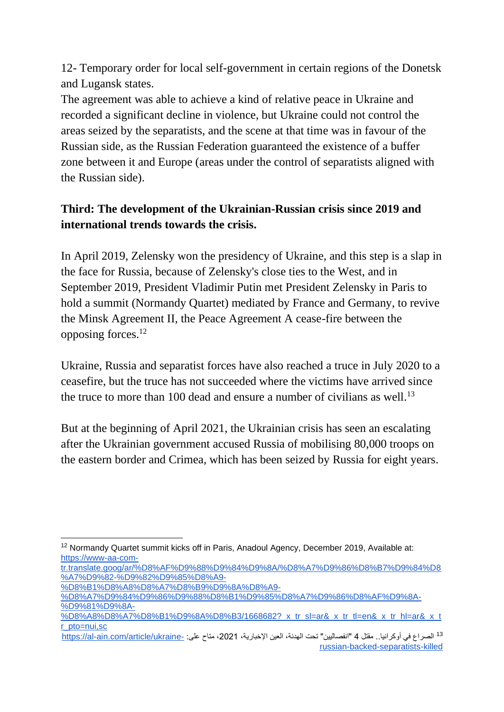12- Temporary order for local self-government in certain regions of the Donetsk and Lugansk states.

The agreement was able to achieve a kind of relative peace in Ukraine and recorded a significant decline in violence, but Ukraine could not control the areas seized by the separatists, and the scene at that time was in favour of the Russian side, as the Russian Federation guaranteed the existence of a buffer zone between it and Europe (areas under the control of separatists aligned with the Russian side).

# **Third: The development of the Ukrainian-Russian crisis since 2019 and international trends towards the crisis.**

In April 2019, Zelensky won the presidency of Ukraine, and this step is a slap in the face for Russia, because of Zelensky's close ties to the West, and in September 2019, President Vladimir Putin met President Zelensky in Paris to hold a summit (Normandy Quartet) mediated by France and Germany, to revive the Minsk Agreement II, the Peace Agreement A cease-fire between the opposing forces.<sup>12</sup>

Ukraine, Russia and separatist forces have also reached a truce in July 2020 to a ceasefire, but the truce has not succeeded where the victims have arrived since the truce to more than 100 dead and ensure a number of civilians as well.<sup>13</sup>

But at the beginning of April 2021, the Ukrainian crisis has seen an escalating after the Ukrainian government accused Russia of mobilising 80,000 troops on the eastern border and Crimea, which has been seized by Russia for eight years.

<sup>&</sup>lt;sup>12</sup> Normandy Quartet summit kicks off in Paris, Anadoul Agency, December 2019, Available at: [https://www-aa-com-](https://www-aa-com-tr.translate.goog/ar/%D8%AF%D9%88%D9%84%D9%8A/%D8%A7%D9%86%D8%B7%D9%84%D8%A7%D9%82-%D9%82%D9%85%D8%A9-%D8%B1%D8%A8%D8%A7%D8%B9%D9%8A%D8%A9-%D8%A7%D9%84%D9%86%D9%88%D8%B1%D9%85%D8%A7%D9%86%D8%AF%D9%8A-%D9%81%D9%8A-%D8%A8%D8%A7%D8%B1%D9%8A%D8%B3/1668682?_x_tr_sl=ar&_x_tr_tl=en&_x_tr_hl=ar&_x_tr_pto=nui,sc)

[tr.translate.goog/ar/%D8%AF%D9%88%D9%84%D9%8A/%D8%A7%D9%86%D8%B7%D9%84%D8](https://www-aa-com-tr.translate.goog/ar/%D8%AF%D9%88%D9%84%D9%8A/%D8%A7%D9%86%D8%B7%D9%84%D8%A7%D9%82-%D9%82%D9%85%D8%A9-%D8%B1%D8%A8%D8%A7%D8%B9%D9%8A%D8%A9-%D8%A7%D9%84%D9%86%D9%88%D8%B1%D9%85%D8%A7%D9%86%D8%AF%D9%8A-%D9%81%D9%8A-%D8%A8%D8%A7%D8%B1%D9%8A%D8%B3/1668682?_x_tr_sl=ar&_x_tr_tl=en&_x_tr_hl=ar&_x_tr_pto=nui,sc) [%A7%D9%82-%D9%82%D9%85%D8%A9-](https://www-aa-com-tr.translate.goog/ar/%D8%AF%D9%88%D9%84%D9%8A/%D8%A7%D9%86%D8%B7%D9%84%D8%A7%D9%82-%D9%82%D9%85%D8%A9-%D8%B1%D8%A8%D8%A7%D8%B9%D9%8A%D8%A9-%D8%A7%D9%84%D9%86%D9%88%D8%B1%D9%85%D8%A7%D9%86%D8%AF%D9%8A-%D9%81%D9%8A-%D8%A8%D8%A7%D8%B1%D9%8A%D8%B3/1668682?_x_tr_sl=ar&_x_tr_tl=en&_x_tr_hl=ar&_x_tr_pto=nui,sc)

[<sup>%</sup>D8%B1%D8%A8%D8%A7%D8%B9%D9%8A%D8%A9-](https://www-aa-com-tr.translate.goog/ar/%D8%AF%D9%88%D9%84%D9%8A/%D8%A7%D9%86%D8%B7%D9%84%D8%A7%D9%82-%D9%82%D9%85%D8%A9-%D8%B1%D8%A8%D8%A7%D8%B9%D9%8A%D8%A9-%D8%A7%D9%84%D9%86%D9%88%D8%B1%D9%85%D8%A7%D9%86%D8%AF%D9%8A-%D9%81%D9%8A-%D8%A8%D8%A7%D8%B1%D9%8A%D8%B3/1668682?_x_tr_sl=ar&_x_tr_tl=en&_x_tr_hl=ar&_x_tr_pto=nui,sc)

[<sup>%</sup>D8%A7%D9%84%D9%86%D9%88%D8%B1%D9%85%D8%A7%D9%86%D8%AF%D9%8A-](https://www-aa-com-tr.translate.goog/ar/%D8%AF%D9%88%D9%84%D9%8A/%D8%A7%D9%86%D8%B7%D9%84%D8%A7%D9%82-%D9%82%D9%85%D8%A9-%D8%B1%D8%A8%D8%A7%D8%B9%D9%8A%D8%A9-%D8%A7%D9%84%D9%86%D9%88%D8%B1%D9%85%D8%A7%D9%86%D8%AF%D9%8A-%D9%81%D9%8A-%D8%A8%D8%A7%D8%B1%D9%8A%D8%B3/1668682?_x_tr_sl=ar&_x_tr_tl=en&_x_tr_hl=ar&_x_tr_pto=nui,sc) [%D9%81%D9%8A-](https://www-aa-com-tr.translate.goog/ar/%D8%AF%D9%88%D9%84%D9%8A/%D8%A7%D9%86%D8%B7%D9%84%D8%A7%D9%82-%D9%82%D9%85%D8%A9-%D8%B1%D8%A8%D8%A7%D8%B9%D9%8A%D8%A9-%D8%A7%D9%84%D9%86%D9%88%D8%B1%D9%85%D8%A7%D9%86%D8%AF%D9%8A-%D9%81%D9%8A-%D8%A8%D8%A7%D8%B1%D9%8A%D8%B3/1668682?_x_tr_sl=ar&_x_tr_tl=en&_x_tr_hl=ar&_x_tr_pto=nui,sc)

<sup>%</sup>D8%A8%D8%A7%D8%B1%D9%8A%D8%B3/1668682? x tr sl=ar& x tr tl=en& x tr hl=ar& x t [r\\_pto=nui,sc](https://www-aa-com-tr.translate.goog/ar/%D8%AF%D9%88%D9%84%D9%8A/%D8%A7%D9%86%D8%B7%D9%84%D8%A7%D9%82-%D9%82%D9%85%D8%A9-%D8%B1%D8%A8%D8%A7%D8%B9%D9%8A%D8%A9-%D8%A7%D9%84%D9%86%D9%88%D8%B1%D9%85%D8%A7%D9%86%D8%AF%D9%8A-%D9%81%D9%8A-%D8%A8%D8%A7%D8%B1%D9%8A%D8%B3/1668682?_x_tr_sl=ar&_x_tr_tl=en&_x_tr_hl=ar&_x_tr_pto=nui,sc)

<sup>&</sup>lt;sup>13</sup> الصراع في أوكرانيا.. مقتل 4 "انفصاليين" تحت الهدنة، العين الإخبارية، 2021، متاح على: <u>-https://al-ain.com/article/ukraine</u> [russian-backed-separatists-killed](https://al-ain.com/article/ukraine-russian-backed-separatists-killed)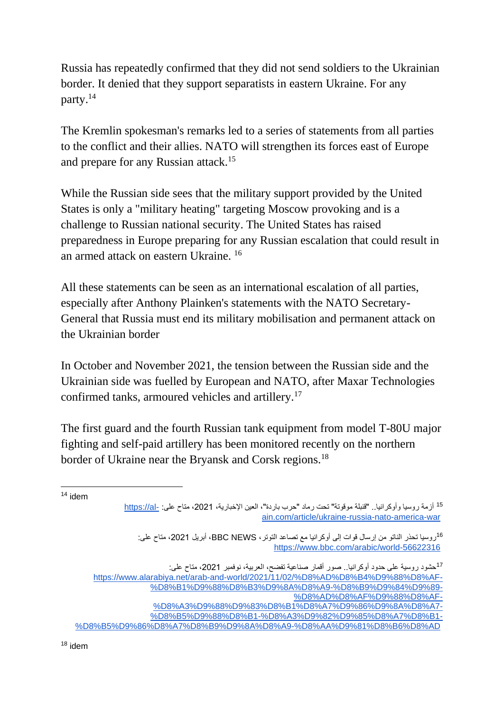Russia has repeatedly confirmed that they did not send soldiers to the Ukrainian border. It denied that they support separatists in eastern Ukraine. For any party.<sup>14</sup>

The Kremlin spokesman's remarks led to a series of statements from all parties to the conflict and their allies. NATO will strengthen its forces east of Europe and prepare for any Russian attack.<sup>15</sup>

While the Russian side sees that the military support provided by the United States is only a "military heating" targeting Moscow provoking and is a challenge to Russian national security. The United States has raised preparedness in Europe preparing for any Russian escalation that could result in an armed attack on eastern Ukraine. <sup>16</sup>

All these statements can be seen as an international escalation of all parties, especially after Anthony Plainken's statements with the NATO Secretary-General that Russia must end its military mobilisation and permanent attack on the Ukrainian border

In October and November 2021, the tension between the Russian side and the Ukrainian side was fuelled by European and NATO, after Maxar Technologies confirmed tanks, armoured vehicles and artillery.<sup>17</sup>

The first guard and the fourth Russian tank equipment from model T-80U major fighting and self-paid artillery has been monitored recently on the northern border of Ukraine near the Bryansk and Corsk regions.<sup>18</sup>

<sup>14</sup> idem

<sup>15</sup> أزمة روسيا وأوكرانيا.. "قنبلة موقوتة" تحت رماد "حرب باردة"، العين الإخبارية، 2021، متاح على: -https://al [ain.com/article/ukraine-russia-nato-america-war](https://al-ain.com/article/ukraine-russia-nato-america-war)

<sup>16</sup>روسيا تحذر الناتو من إرسال قوات إلى أوكرانيا مع تصاعد التوتر، BBC NEWS، أبريل 2021، متاح على: <https://www.bbc.com/arabic/world-56622316>

<sup>&</sup>lt;sup>17</sup>حشود روسية على حدود أوكرانيا.<sub>.</sub> صور أقمار صناعية تفضح، العربية، نوفمبر 2021، متاح على:

[https://www.alarabiya.net/arab-and-world/2021/11/02/%D8%AD%D8%B4%D9%88%D8%AF-](https://www.alarabiya.net/arab-and-world/2021/11/02/%D8%AD%D8%B4%D9%88%D8%AF-%D8%B1%D9%88%D8%B3%D9%8A%D8%A9-%D8%B9%D9%84%D9%89-%D8%AD%D8%AF%D9%88%D8%AF-%D8%A3%D9%88%D9%83%D8%B1%D8%A7%D9%86%D9%8A%D8%A7-%D8%B5%D9%88%D8%B1-%D8%A3%D9%82%D9%85%D8%A7%D8%B1-%D8%B5%D9%86%D8%A7%D8%B9%D9%8A%D8%A9-%D8%AA%D9%81%D8%B6%D8%AD) [%D8%B1%D9%88%D8%B3%D9%8A%D8%A9-%D8%B9%D9%84%D9%89-](https://www.alarabiya.net/arab-and-world/2021/11/02/%D8%AD%D8%B4%D9%88%D8%AF-%D8%B1%D9%88%D8%B3%D9%8A%D8%A9-%D8%B9%D9%84%D9%89-%D8%AD%D8%AF%D9%88%D8%AF-%D8%A3%D9%88%D9%83%D8%B1%D8%A7%D9%86%D9%8A%D8%A7-%D8%B5%D9%88%D8%B1-%D8%A3%D9%82%D9%85%D8%A7%D8%B1-%D8%B5%D9%86%D8%A7%D8%B9%D9%8A%D8%A9-%D8%AA%D9%81%D8%B6%D8%AD) [%D8%AD%D8%AF%D9%88%D8%AF-](https://www.alarabiya.net/arab-and-world/2021/11/02/%D8%AD%D8%B4%D9%88%D8%AF-%D8%B1%D9%88%D8%B3%D9%8A%D8%A9-%D8%B9%D9%84%D9%89-%D8%AD%D8%AF%D9%88%D8%AF-%D8%A3%D9%88%D9%83%D8%B1%D8%A7%D9%86%D9%8A%D8%A7-%D8%B5%D9%88%D8%B1-%D8%A3%D9%82%D9%85%D8%A7%D8%B1-%D8%B5%D9%86%D8%A7%D8%B9%D9%8A%D8%A9-%D8%AA%D9%81%D8%B6%D8%AD)

[<sup>%</sup>D8%A3%D9%88%D9%83%D8%B1%D8%A7%D9%86%D9%8A%D8%A7-](https://www.alarabiya.net/arab-and-world/2021/11/02/%D8%AD%D8%B4%D9%88%D8%AF-%D8%B1%D9%88%D8%B3%D9%8A%D8%A9-%D8%B9%D9%84%D9%89-%D8%AD%D8%AF%D9%88%D8%AF-%D8%A3%D9%88%D9%83%D8%B1%D8%A7%D9%86%D9%8A%D8%A7-%D8%B5%D9%88%D8%B1-%D8%A3%D9%82%D9%85%D8%A7%D8%B1-%D8%B5%D9%86%D8%A7%D8%B9%D9%8A%D8%A9-%D8%AA%D9%81%D8%B6%D8%AD)

[<sup>%</sup>D8%B5%D9%88%D8%B1-%D8%A3%D9%82%D9%85%D8%A7%D8%B1-](https://www.alarabiya.net/arab-and-world/2021/11/02/%D8%AD%D8%B4%D9%88%D8%AF-%D8%B1%D9%88%D8%B3%D9%8A%D8%A9-%D8%B9%D9%84%D9%89-%D8%AD%D8%AF%D9%88%D8%AF-%D8%A3%D9%88%D9%83%D8%B1%D8%A7%D9%86%D9%8A%D8%A7-%D8%B5%D9%88%D8%B1-%D8%A3%D9%82%D9%85%D8%A7%D8%B1-%D8%B5%D9%86%D8%A7%D8%B9%D9%8A%D8%A9-%D8%AA%D9%81%D8%B6%D8%AD) [%D8%B5%D9%86%D8%A7%D8%B9%D9%8A%D8%A9-%D8%AA%D9%81%D8%B6%D8%AD](https://www.alarabiya.net/arab-and-world/2021/11/02/%D8%AD%D8%B4%D9%88%D8%AF-%D8%B1%D9%88%D8%B3%D9%8A%D8%A9-%D8%B9%D9%84%D9%89-%D8%AD%D8%AF%D9%88%D8%AF-%D8%A3%D9%88%D9%83%D8%B1%D8%A7%D9%86%D9%8A%D8%A7-%D8%B5%D9%88%D8%B1-%D8%A3%D9%82%D9%85%D8%A7%D8%B1-%D8%B5%D9%86%D8%A7%D8%B9%D9%8A%D8%A9-%D8%AA%D9%81%D8%B6%D8%AD)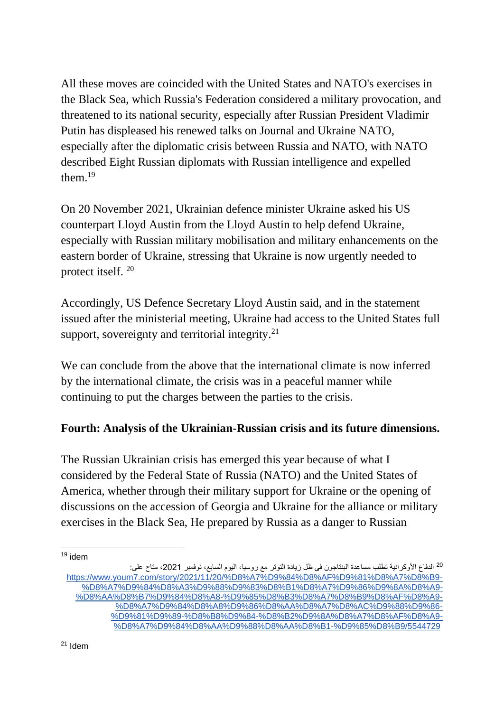All these moves are coincided with the United States and NATO's exercises in the Black Sea, which Russia's Federation considered a military provocation, and threatened to its national security, especially after Russian President Vladimir Putin has displeased his renewed talks on Journal and Ukraine NATO, especially after the diplomatic crisis between Russia and NATO, with NATO described Eight Russian diplomats with Russian intelligence and expelled them. $19$ 

On 20 November 2021, Ukrainian defence minister Ukraine asked his US counterpart Lloyd Austin from the Lloyd Austin to help defend Ukraine, especially with Russian military mobilisation and military enhancements on the eastern border of Ukraine, stressing that Ukraine is now urgently needed to protect itself. <sup>20</sup>

Accordingly, US Defence Secretary Lloyd Austin said, and in the statement issued after the ministerial meeting, Ukraine had access to the United States full support, sovereignty and territorial integrity. $21$ 

We can conclude from the above that the international climate is now inferred by the international climate, the crisis was in a peaceful manner while continuing to put the charges between the parties to the crisis.

#### **Fourth: Analysis of the Ukrainian-Russian crisis and its future dimensions.**

The Russian Ukrainian crisis has emerged this year because of what I considered by the Federal State of Russia (NATO) and the United States of America, whether through their military support for Ukraine or the opening of discussions on the accession of Georgia and Ukraine for the alliance or military exercises in the Black Sea, He prepared by Russia as a danger to Russian

 $19$  idem

<sup>&</sup>lt;sup>20</sup> الدفاع الأوكرانية تطلب مساعدة البنتاجون فى ظل زيادة التوتر مع روسيا، اليوم السابع، نوفمبر 2021، متاح على: [https://www.youm7.com/story/2021/11/20/%D8%A7%D9%84%D8%AF%D9%81%D8%A7%D8%B9-](https://www.youm7.com/story/2021/11/20/%D8%A7%D9%84%D8%AF%D9%81%D8%A7%D8%B9-%D8%A7%D9%84%D8%A3%D9%88%D9%83%D8%B1%D8%A7%D9%86%D9%8A%D8%A9-%D8%AA%D8%B7%D9%84%D8%A8-%D9%85%D8%B3%D8%A7%D8%B9%D8%AF%D8%A9-%D8%A7%D9%84%D8%A8%D9%86%D8%AA%D8%A7%D8%AC%D9%88%D9%86-%D9%81%D9%89-%D8%B8%D9%84-%D8%B2%D9%8A%D8%A7%D8%AF%D8%A9-%D8%A7%D9%84%D8%AA%D9%88%D8%AA%D8%B1-%D9%85%D8%B9/5544729) [%D8%A7%D9%84%D8%A3%D9%88%D9%83%D8%B1%D8%A7%D9%86%D9%8A%D8%A9-](https://www.youm7.com/story/2021/11/20/%D8%A7%D9%84%D8%AF%D9%81%D8%A7%D8%B9-%D8%A7%D9%84%D8%A3%D9%88%D9%83%D8%B1%D8%A7%D9%86%D9%8A%D8%A9-%D8%AA%D8%B7%D9%84%D8%A8-%D9%85%D8%B3%D8%A7%D8%B9%D8%AF%D8%A9-%D8%A7%D9%84%D8%A8%D9%86%D8%AA%D8%A7%D8%AC%D9%88%D9%86-%D9%81%D9%89-%D8%B8%D9%84-%D8%B2%D9%8A%D8%A7%D8%AF%D8%A9-%D8%A7%D9%84%D8%AA%D9%88%D8%AA%D8%B1-%D9%85%D8%B9/5544729) [%D8%AA%D8%B7%D9%84%D8%A8-%D9%85%D8%B3%D8%A7%D8%B9%D8%AF%D8%A9-](https://www.youm7.com/story/2021/11/20/%D8%A7%D9%84%D8%AF%D9%81%D8%A7%D8%B9-%D8%A7%D9%84%D8%A3%D9%88%D9%83%D8%B1%D8%A7%D9%86%D9%8A%D8%A9-%D8%AA%D8%B7%D9%84%D8%A8-%D9%85%D8%B3%D8%A7%D8%B9%D8%AF%D8%A9-%D8%A7%D9%84%D8%A8%D9%86%D8%AA%D8%A7%D8%AC%D9%88%D9%86-%D9%81%D9%89-%D8%B8%D9%84-%D8%B2%D9%8A%D8%A7%D8%AF%D8%A9-%D8%A7%D9%84%D8%AA%D9%88%D8%AA%D8%B1-%D9%85%D8%B9/5544729) [%D8%A7%D9%84%D8%A8%D9%86%D8%AA%D8%A7%D8%AC%D9%88%D9%86-](https://www.youm7.com/story/2021/11/20/%D8%A7%D9%84%D8%AF%D9%81%D8%A7%D8%B9-%D8%A7%D9%84%D8%A3%D9%88%D9%83%D8%B1%D8%A7%D9%86%D9%8A%D8%A9-%D8%AA%D8%B7%D9%84%D8%A8-%D9%85%D8%B3%D8%A7%D8%B9%D8%AF%D8%A9-%D8%A7%D9%84%D8%A8%D9%86%D8%AA%D8%A7%D8%AC%D9%88%D9%86-%D9%81%D9%89-%D8%B8%D9%84-%D8%B2%D9%8A%D8%A7%D8%AF%D8%A9-%D8%A7%D9%84%D8%AA%D9%88%D8%AA%D8%B1-%D9%85%D8%B9/5544729) [%D9%81%D9%89-%D8%B8%D9%84-%D8%B2%D9%8A%D8%A7%D8%AF%D8%A9-](https://www.youm7.com/story/2021/11/20/%D8%A7%D9%84%D8%AF%D9%81%D8%A7%D8%B9-%D8%A7%D9%84%D8%A3%D9%88%D9%83%D8%B1%D8%A7%D9%86%D9%8A%D8%A9-%D8%AA%D8%B7%D9%84%D8%A8-%D9%85%D8%B3%D8%A7%D8%B9%D8%AF%D8%A9-%D8%A7%D9%84%D8%A8%D9%86%D8%AA%D8%A7%D8%AC%D9%88%D9%86-%D9%81%D9%89-%D8%B8%D9%84-%D8%B2%D9%8A%D8%A7%D8%AF%D8%A9-%D8%A7%D9%84%D8%AA%D9%88%D8%AA%D8%B1-%D9%85%D8%B9/5544729) [%D8%A7%D9%84%D8%AA%D9%88%D8%AA%D8%B1-%D9%85%D8%B9/5544729](https://www.youm7.com/story/2021/11/20/%D8%A7%D9%84%D8%AF%D9%81%D8%A7%D8%B9-%D8%A7%D9%84%D8%A3%D9%88%D9%83%D8%B1%D8%A7%D9%86%D9%8A%D8%A9-%D8%AA%D8%B7%D9%84%D8%A8-%D9%85%D8%B3%D8%A7%D8%B9%D8%AF%D8%A9-%D8%A7%D9%84%D8%A8%D9%86%D8%AA%D8%A7%D8%AC%D9%88%D9%86-%D9%81%D9%89-%D8%B8%D9%84-%D8%B2%D9%8A%D8%A7%D8%AF%D8%A9-%D8%A7%D9%84%D8%AA%D9%88%D8%AA%D8%B1-%D9%85%D8%B9/5544729)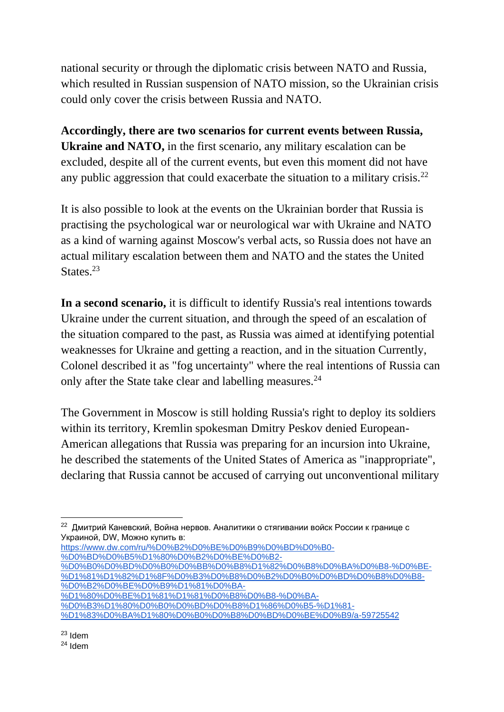national security or through the diplomatic crisis between NATO and Russia, which resulted in Russian suspension of NATO mission, so the Ukrainian crisis could only cover the crisis between Russia and NATO.

**Accordingly, there are two scenarios for current events between Russia, Ukraine and NATO,** in the first scenario, any military escalation can be excluded, despite all of the current events, but even this moment did not have any public aggression that could exacerbate the situation to a military crisis.<sup>22</sup>

It is also possible to look at the events on the Ukrainian border that Russia is practising the psychological war or neurological war with Ukraine and NATO as a kind of warning against Moscow's verbal acts, so Russia does not have an actual military escalation between them and NATO and the states the United States.<sup>23</sup>

**In a second scenario,** it is difficult to identify Russia's real intentions towards Ukraine under the current situation, and through the speed of an escalation of the situation compared to the past, as Russia was aimed at identifying potential weaknesses for Ukraine and getting a reaction, and in the situation Currently, Colonel described it as "fog uncertainty" where the real intentions of Russia can only after the State take clear and labelling measures.<sup>24</sup>

The Government in Moscow is still holding Russia's right to deploy its soldiers within its territory, Kremlin spokesman Dmitry Peskov denied European-American allegations that Russia was preparing for an incursion into Ukraine, he described the statements of the United States of America as "inappropriate", declaring that Russia cannot be accused of carrying out unconventional military

[https://www.dw.com/ru/%D0%B2%D0%BE%D0%B9%D0%BD%D0%B0-](https://www.dw.com/ru/%D0%B2%D0%BE%D0%B9%D0%BD%D0%B0-%D0%BD%D0%B5%D1%80%D0%B2%D0%BE%D0%B2-%D0%B0%D0%BD%D0%B0%D0%BB%D0%B8%D1%82%D0%B8%D0%BA%D0%B8-%D0%BE-%D1%81%D1%82%D1%8F%D0%B3%D0%B8%D0%B2%D0%B0%D0%BD%D0%B8%D0%B8-%D0%B2%D0%BE%D0%B9%D1%81%D0%BA-%D1%80%D0%BE%D1%81%D1%81%D0%B8%D0%B8-%D0%BA-%D0%B3%D1%80%D0%B0%D0%BD%D0%B8%D1%86%D0%B5-%D1%81-%D1%83%D0%BA%D1%80%D0%B0%D0%B8%D0%BD%D0%BE%D0%B9/a-59725542) [%D0%BD%D0%B5%D1%80%D0%B2%D0%BE%D0%B2-](https://www.dw.com/ru/%D0%B2%D0%BE%D0%B9%D0%BD%D0%B0-%D0%BD%D0%B5%D1%80%D0%B2%D0%BE%D0%B2-%D0%B0%D0%BD%D0%B0%D0%BB%D0%B8%D1%82%D0%B8%D0%BA%D0%B8-%D0%BE-%D1%81%D1%82%D1%8F%D0%B3%D0%B8%D0%B2%D0%B0%D0%BD%D0%B8%D0%B8-%D0%B2%D0%BE%D0%B9%D1%81%D0%BA-%D1%80%D0%BE%D1%81%D1%81%D0%B8%D0%B8-%D0%BA-%D0%B3%D1%80%D0%B0%D0%BD%D0%B8%D1%86%D0%B5-%D1%81-%D1%83%D0%BA%D1%80%D0%B0%D0%B8%D0%BD%D0%BE%D0%B9/a-59725542)

[%D0%B0%D0%BD%D0%B0%D0%BB%D0%B8%D1%82%D0%B8%D0%BA%D0%B8-%D0%BE-](https://www.dw.com/ru/%D0%B2%D0%BE%D0%B9%D0%BD%D0%B0-%D0%BD%D0%B5%D1%80%D0%B2%D0%BE%D0%B2-%D0%B0%D0%BD%D0%B0%D0%BB%D0%B8%D1%82%D0%B8%D0%BA%D0%B8-%D0%BE-%D1%81%D1%82%D1%8F%D0%B3%D0%B8%D0%B2%D0%B0%D0%BD%D0%B8%D0%B8-%D0%B2%D0%BE%D0%B9%D1%81%D0%BA-%D1%80%D0%BE%D1%81%D1%81%D0%B8%D0%B8-%D0%BA-%D0%B3%D1%80%D0%B0%D0%BD%D0%B8%D1%86%D0%B5-%D1%81-%D1%83%D0%BA%D1%80%D0%B0%D0%B8%D0%BD%D0%BE%D0%B9/a-59725542) [%D1%81%D1%82%D1%8F%D0%B3%D0%B8%D0%B2%D0%B0%D0%BD%D0%B8%D0%B8-](https://www.dw.com/ru/%D0%B2%D0%BE%D0%B9%D0%BD%D0%B0-%D0%BD%D0%B5%D1%80%D0%B2%D0%BE%D0%B2-%D0%B0%D0%BD%D0%B0%D0%BB%D0%B8%D1%82%D0%B8%D0%BA%D0%B8-%D0%BE-%D1%81%D1%82%D1%8F%D0%B3%D0%B8%D0%B2%D0%B0%D0%BD%D0%B8%D0%B8-%D0%B2%D0%BE%D0%B9%D1%81%D0%BA-%D1%80%D0%BE%D1%81%D1%81%D0%B8%D0%B8-%D0%BA-%D0%B3%D1%80%D0%B0%D0%BD%D0%B8%D1%86%D0%B5-%D1%81-%D1%83%D0%BA%D1%80%D0%B0%D0%B8%D0%BD%D0%BE%D0%B9/a-59725542) [%D0%B2%D0%BE%D0%B9%D1%81%D0%BA-](https://www.dw.com/ru/%D0%B2%D0%BE%D0%B9%D0%BD%D0%B0-%D0%BD%D0%B5%D1%80%D0%B2%D0%BE%D0%B2-%D0%B0%D0%BD%D0%B0%D0%BB%D0%B8%D1%82%D0%B8%D0%BA%D0%B8-%D0%BE-%D1%81%D1%82%D1%8F%D0%B3%D0%B8%D0%B2%D0%B0%D0%BD%D0%B8%D0%B8-%D0%B2%D0%BE%D0%B9%D1%81%D0%BA-%D1%80%D0%BE%D1%81%D1%81%D0%B8%D0%B8-%D0%BA-%D0%B3%D1%80%D0%B0%D0%BD%D0%B8%D1%86%D0%B5-%D1%81-%D1%83%D0%BA%D1%80%D0%B0%D0%B8%D0%BD%D0%BE%D0%B9/a-59725542)

[%D1%80%D0%BE%D1%81%D1%81%D0%B8%D0%B8-%D0%BA-](https://www.dw.com/ru/%D0%B2%D0%BE%D0%B9%D0%BD%D0%B0-%D0%BD%D0%B5%D1%80%D0%B2%D0%BE%D0%B2-%D0%B0%D0%BD%D0%B0%D0%BB%D0%B8%D1%82%D0%B8%D0%BA%D0%B8-%D0%BE-%D1%81%D1%82%D1%8F%D0%B3%D0%B8%D0%B2%D0%B0%D0%BD%D0%B8%D0%B8-%D0%B2%D0%BE%D0%B9%D1%81%D0%BA-%D1%80%D0%BE%D1%81%D1%81%D0%B8%D0%B8-%D0%BA-%D0%B3%D1%80%D0%B0%D0%BD%D0%B8%D1%86%D0%B5-%D1%81-%D1%83%D0%BA%D1%80%D0%B0%D0%B8%D0%BD%D0%BE%D0%B9/a-59725542)

[%D0%B3%D1%80%D0%B0%D0%BD%D0%B8%D1%86%D0%B5-%D1%81-](https://www.dw.com/ru/%D0%B2%D0%BE%D0%B9%D0%BD%D0%B0-%D0%BD%D0%B5%D1%80%D0%B2%D0%BE%D0%B2-%D0%B0%D0%BD%D0%B0%D0%BB%D0%B8%D1%82%D0%B8%D0%BA%D0%B8-%D0%BE-%D1%81%D1%82%D1%8F%D0%B3%D0%B8%D0%B2%D0%B0%D0%BD%D0%B8%D0%B8-%D0%B2%D0%BE%D0%B9%D1%81%D0%BA-%D1%80%D0%BE%D1%81%D1%81%D0%B8%D0%B8-%D0%BA-%D0%B3%D1%80%D0%B0%D0%BD%D0%B8%D1%86%D0%B5-%D1%81-%D1%83%D0%BA%D1%80%D0%B0%D0%B8%D0%BD%D0%BE%D0%B9/a-59725542)

 $^{22}$  Дмитрий Каневский, Война нервов. Аналитики о стягивании войск России к границе с Украиной, DW, Можно купить в:

[<sup>%</sup>D1%83%D0%BA%D1%80%D0%B0%D0%B8%D0%BD%D0%BE%D0%B9/a-59725542](https://www.dw.com/ru/%D0%B2%D0%BE%D0%B9%D0%BD%D0%B0-%D0%BD%D0%B5%D1%80%D0%B2%D0%BE%D0%B2-%D0%B0%D0%BD%D0%B0%D0%BB%D0%B8%D1%82%D0%B8%D0%BA%D0%B8-%D0%BE-%D1%81%D1%82%D1%8F%D0%B3%D0%B8%D0%B2%D0%B0%D0%BD%D0%B8%D0%B8-%D0%B2%D0%BE%D0%B9%D1%81%D0%BA-%D1%80%D0%BE%D1%81%D1%81%D0%B8%D0%B8-%D0%BA-%D0%B3%D1%80%D0%B0%D0%BD%D0%B8%D1%86%D0%B5-%D1%81-%D1%83%D0%BA%D1%80%D0%B0%D0%B8%D0%BD%D0%BE%D0%B9/a-59725542) 

<sup>24</sup> Idem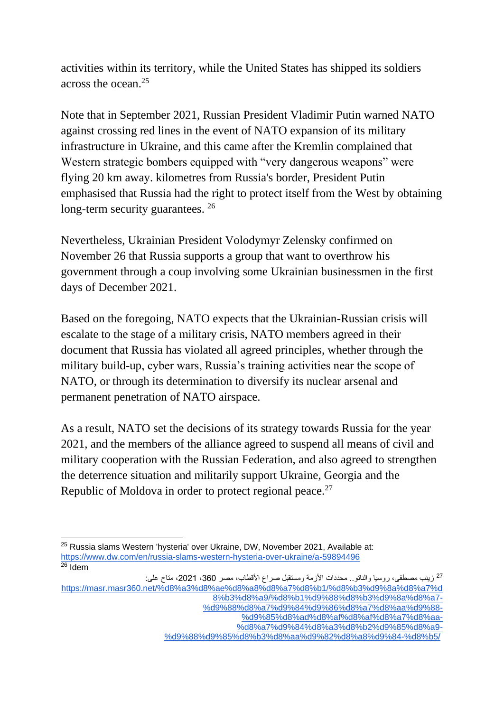activities within its territory, while the United States has shipped its soldiers across the ocean.<sup>25</sup>

Note that in September 2021, Russian President Vladimir Putin warned NATO against crossing red lines in the event of NATO expansion of its military infrastructure in Ukraine, and this came after the Kremlin complained that Western strategic bombers equipped with "very dangerous weapons" were flying 20 km away. kilometres from Russia's border, President Putin emphasised that Russia had the right to protect itself from the West by obtaining long-term security guarantees.<sup>26</sup>

Nevertheless, Ukrainian President Volodymyr Zelensky confirmed on November 26 that Russia supports a group that want to overthrow his government through a coup involving some Ukrainian businessmen in the first days of December 2021.

Based on the foregoing, NATO expects that the Ukrainian-Russian crisis will escalate to the stage of a military crisis, NATO members agreed in their document that Russia has violated all agreed principles, whether through the military build-up, cyber wars, Russia's training activities near the scope of NATO, or through its determination to diversify its nuclear arsenal and permanent penetration of NATO airspace.

As a result, NATO set the decisions of its strategy towards Russia for the year 2021, and the members of the alliance agreed to suspend all means of civil and military cooperation with the Russian Federation, and also agreed to strengthen the deterrence situation and militarily support Ukraine, Georgia and the Republic of Moldova in order to protect regional peace.<sup>27</sup>

<sup>25</sup> Russia slams Western 'hysteria' over Ukraine, DW, November 2021, Available at: <https://www.dw.com/en/russia-slams-western-hysteria-over-ukraine/a-59894496>  $26$  Idem

<sup>&</sup>lt;sup>27</sup> زينب مصطفى، روسيا والناتو.. محددات الأزمة ومستقبل صراع الأقطاب، مصر 360، 2021، متاح على: [https://masr.masr360.net/%d8%a3%d8%ae%d8%a8%d8%a7%d8%b1/%d8%b3%d9%8a%d8%a7%d](https://masr.masr360.net/%d8%a3%d8%ae%d8%a8%d8%a7%d8%b1/%d8%b3%d9%8a%d8%a7%d8%b3%d8%a9/%d8%b1%d9%88%d8%b3%d9%8a%d8%a7-%d9%88%d8%a7%d9%84%d9%86%d8%a7%d8%aa%d9%88-%d9%85%d8%ad%d8%af%d8%af%d8%a7%d8%aa-%d8%a7%d9%84%d8%a3%d8%b2%d9%85%d8%a9-%d9%88%d9%85%d8%b3%d8%aa%d9%82%d8%a8%d9%84-%d8%b5/) [8%b3%d8%a9/%d8%b1%d9%88%d8%b3%d9%8a%d8%a7-](https://masr.masr360.net/%d8%a3%d8%ae%d8%a8%d8%a7%d8%b1/%d8%b3%d9%8a%d8%a7%d8%b3%d8%a9/%d8%b1%d9%88%d8%b3%d9%8a%d8%a7-%d9%88%d8%a7%d9%84%d9%86%d8%a7%d8%aa%d9%88-%d9%85%d8%ad%d8%af%d8%af%d8%a7%d8%aa-%d8%a7%d9%84%d8%a3%d8%b2%d9%85%d8%a9-%d9%88%d9%85%d8%b3%d8%aa%d9%82%d8%a8%d9%84-%d8%b5/)

[<sup>%</sup>d9%88%d8%a7%d9%84%d9%86%d8%a7%d8%aa%d9%88-](https://masr.masr360.net/%d8%a3%d8%ae%d8%a8%d8%a7%d8%b1/%d8%b3%d9%8a%d8%a7%d8%b3%d8%a9/%d8%b1%d9%88%d8%b3%d9%8a%d8%a7-%d9%88%d8%a7%d9%84%d9%86%d8%a7%d8%aa%d9%88-%d9%85%d8%ad%d8%af%d8%af%d8%a7%d8%aa-%d8%a7%d9%84%d8%a3%d8%b2%d9%85%d8%a9-%d9%88%d9%85%d8%b3%d8%aa%d9%82%d8%a8%d9%84-%d8%b5/)

[<sup>%</sup>d9%85%d8%ad%d8%af%d8%af%d8%a7%d8%aa-](https://masr.masr360.net/%d8%a3%d8%ae%d8%a8%d8%a7%d8%b1/%d8%b3%d9%8a%d8%a7%d8%b3%d8%a9/%d8%b1%d9%88%d8%b3%d9%8a%d8%a7-%d9%88%d8%a7%d9%84%d9%86%d8%a7%d8%aa%d9%88-%d9%85%d8%ad%d8%af%d8%af%d8%a7%d8%aa-%d8%a7%d9%84%d8%a3%d8%b2%d9%85%d8%a9-%d9%88%d9%85%d8%b3%d8%aa%d9%82%d8%a8%d9%84-%d8%b5/)

[<sup>%</sup>d8%a7%d9%84%d8%a3%d8%b2%d9%85%d8%a9-](https://masr.masr360.net/%d8%a3%d8%ae%d8%a8%d8%a7%d8%b1/%d8%b3%d9%8a%d8%a7%d8%b3%d8%a9/%d8%b1%d9%88%d8%b3%d9%8a%d8%a7-%d9%88%d8%a7%d9%84%d9%86%d8%a7%d8%aa%d9%88-%d9%85%d8%ad%d8%af%d8%af%d8%a7%d8%aa-%d8%a7%d9%84%d8%a3%d8%b2%d9%85%d8%a9-%d9%88%d9%85%d8%b3%d8%aa%d9%82%d8%a8%d9%84-%d8%b5/) [%d9%88%d9%85%d8%b3%d8%aa%d9%82%d8%a8%d9%84-%d8%b5/](https://masr.masr360.net/%d8%a3%d8%ae%d8%a8%d8%a7%d8%b1/%d8%b3%d9%8a%d8%a7%d8%b3%d8%a9/%d8%b1%d9%88%d8%b3%d9%8a%d8%a7-%d9%88%d8%a7%d9%84%d9%86%d8%a7%d8%aa%d9%88-%d9%85%d8%ad%d8%af%d8%af%d8%a7%d8%aa-%d8%a7%d9%84%d8%a3%d8%b2%d9%85%d8%a9-%d9%88%d9%85%d8%b3%d8%aa%d9%82%d8%a8%d9%84-%d8%b5/)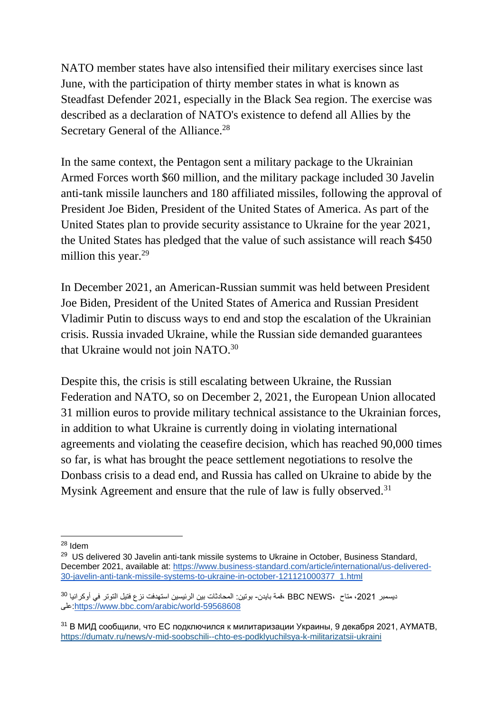NATO member states have also intensified their military exercises since last June, with the participation of thirty member states in what is known as Steadfast Defender 2021, especially in the Black Sea region. The exercise was described as a declaration of NATO's existence to defend all Allies by the Secretary General of the Alliance.<sup>28</sup>

In the same context, the Pentagon sent a military package to the Ukrainian Armed Forces worth \$60 million, and the military package included 30 Javelin anti-tank missile launchers and 180 affiliated missiles, following the approval of President Joe Biden, President of the United States of America. As part of the United States plan to provide security assistance to Ukraine for the year 2021, the United States has pledged that the value of such assistance will reach \$450 million this year.<sup>29</sup>

In December 2021, an American-Russian summit was held between President Joe Biden, President of the United States of America and Russian President Vladimir Putin to discuss ways to end and stop the escalation of the Ukrainian crisis. Russia invaded Ukraine, while the Russian side demanded guarantees that Ukraine would not join NATO.<sup>30</sup>

Despite this, the crisis is still escalating between Ukraine, the Russian Federation and NATO, so on December 2, 2021, the European Union allocated 31 million euros to provide military technical assistance to the Ukrainian forces, in addition to what Ukraine is currently doing in violating international agreements and violating the ceasefire decision, which has reached 90,000 times so far, is what has brought the peace settlement negotiations to resolve the Donbass crisis to a dead end, and Russia has called on Ukraine to abide by the Mysink Agreement and ensure that the rule of law is fully observed.<sup>31</sup>

<sup>28</sup> Idem

<sup>&</sup>lt;sup>29</sup> US delivered 30 Javelin anti-tank missile systems to Ukraine in October, Business Standard, December 2021, available at: [https://www.business-standard.com/article/international/us-delivered-](https://www.business-standard.com/article/international/us-delivered-30-javelin-anti-tank-missile-systems-to-ukraine-in-october-121121000377_1.html)[30-javelin-anti-tank-missile-systems-to-ukraine-in-october-121121000377\\_1.html](https://www.business-standard.com/article/international/us-delivered-30-javelin-anti-tank-missile-systems-to-ukraine-in-october-121121000377_1.html)

ديسمبر 2021، متاح ،BBC NEWS ،قمة بايدن- بوتين: المحادثات بين الرئيسين استهدفت نزع فتيل التوتر في أوكرانيا <sup>30</sup> على[:https://www.bbc.com/arabic/world-59568608](https://www.bbc.com/arabic/world-59568608)

 $31$  В МИД сообщили, что ЕС подключился к милитаризации Украины, 9 декабря 2021, АҮМАТВ, <https://dumatv.ru/news/v-mid-soobschili--chto-es-podklyuchilsya-k-militarizatsii-ukraini>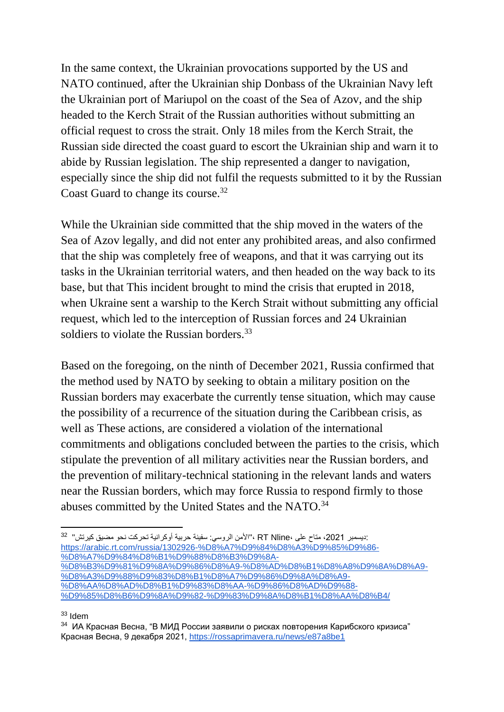In the same context, the Ukrainian provocations supported by the US and NATO continued, after the Ukrainian ship Donbass of the Ukrainian Navy left the Ukrainian port of Mariupol on the coast of the Sea of Azov, and the ship headed to the Kerch Strait of the Russian authorities without submitting an official request to cross the strait. Only 18 miles from the Kerch Strait, the Russian side directed the coast guard to escort the Ukrainian ship and warn it to abide by Russian legislation. The ship represented a danger to navigation, especially since the ship did not fulfil the requests submitted to it by the Russian Coast Guard to change its course.<sup>32</sup>

While the Ukrainian side committed that the ship moved in the waters of the Sea of Azov legally, and did not enter any prohibited areas, and also confirmed that the ship was completely free of weapons, and that it was carrying out its tasks in the Ukrainian territorial waters, and then headed on the way back to its base, but that This incident brought to mind the crisis that erupted in 2018, when Ukraine sent a warship to the Kerch Strait without submitting any official request, which led to the interception of Russian forces and 24 Ukrainian soldiers to violate the Russian borders.<sup>33</sup>

Based on the foregoing, on the ninth of December 2021, Russia confirmed that the method used by NATO by seeking to obtain a military position on the Russian borders may exacerbate the currently tense situation, which may cause the possibility of a recurrence of the situation during the Caribbean crisis, as well as These actions, are considered a violation of the international commitments and obligations concluded between the parties to the crisis, which stipulate the prevention of all military activities near the Russian borders, and the prevention of military-technical stationing in the relevant lands and waters near the Russian borders, which may force Russia to respond firmly to those abuses committed by the United States and the NATO.<sup>34</sup>

:ديسمبر 2021، متاح على ،RT Nline ،"الأمن الروسي: سفينة حربية أوكرانية تحركت نحو مضيق كيرتش" <sup>32</sup> [https://arabic.rt.com/russia/1302926-%D8%A7%D9%84%D8%A3%D9%85%D9%86-](https://arabic.rt.com/russia/1302926-%D8%A7%D9%84%D8%A3%D9%85%D9%86-%D8%A7%D9%84%D8%B1%D9%88%D8%B3%D9%8A-%D8%B3%D9%81%D9%8A%D9%86%D8%A9-%D8%AD%D8%B1%D8%A8%D9%8A%D8%A9-%D8%A3%D9%88%D9%83%D8%B1%D8%A7%D9%86%D9%8A%D8%A9-%D8%AA%D8%AD%D8%B1%D9%83%D8%AA-%D9%86%D8%AD%D9%88-%D9%85%D8%B6%D9%8A%D9%82-%D9%83%D9%8A%D8%B1%D8%AA%D8%B4/) [%D8%A7%D9%84%D8%B1%D9%88%D8%B3%D9%8A-](https://arabic.rt.com/russia/1302926-%D8%A7%D9%84%D8%A3%D9%85%D9%86-%D8%A7%D9%84%D8%B1%D9%88%D8%B3%D9%8A-%D8%B3%D9%81%D9%8A%D9%86%D8%A9-%D8%AD%D8%B1%D8%A8%D9%8A%D8%A9-%D8%A3%D9%88%D9%83%D8%B1%D8%A7%D9%86%D9%8A%D8%A9-%D8%AA%D8%AD%D8%B1%D9%83%D8%AA-%D9%86%D8%AD%D9%88-%D9%85%D8%B6%D9%8A%D9%82-%D9%83%D9%8A%D8%B1%D8%AA%D8%B4/) [%D8%B3%D9%81%D9%8A%D9%86%D8%A9-%D8%AD%D8%B1%D8%A8%D9%8A%D8%A9-](https://arabic.rt.com/russia/1302926-%D8%A7%D9%84%D8%A3%D9%85%D9%86-%D8%A7%D9%84%D8%B1%D9%88%D8%B3%D9%8A-%D8%B3%D9%81%D9%8A%D9%86%D8%A9-%D8%AD%D8%B1%D8%A8%D9%8A%D8%A9-%D8%A3%D9%88%D9%83%D8%B1%D8%A7%D9%86%D9%8A%D8%A9-%D8%AA%D8%AD%D8%B1%D9%83%D8%AA-%D9%86%D8%AD%D9%88-%D9%85%D8%B6%D9%8A%D9%82-%D9%83%D9%8A%D8%B1%D8%AA%D8%B4/) [%D8%A3%D9%88%D9%83%D8%B1%D8%A7%D9%86%D9%8A%D8%A9-](https://arabic.rt.com/russia/1302926-%D8%A7%D9%84%D8%A3%D9%85%D9%86-%D8%A7%D9%84%D8%B1%D9%88%D8%B3%D9%8A-%D8%B3%D9%81%D9%8A%D9%86%D8%A9-%D8%AD%D8%B1%D8%A8%D9%8A%D8%A9-%D8%A3%D9%88%D9%83%D8%B1%D8%A7%D9%86%D9%8A%D8%A9-%D8%AA%D8%AD%D8%B1%D9%83%D8%AA-%D9%86%D8%AD%D9%88-%D9%85%D8%B6%D9%8A%D9%82-%D9%83%D9%8A%D8%B1%D8%AA%D8%B4/) [%D8%AA%D8%AD%D8%B1%D9%83%D8%AA-%D9%86%D8%AD%D9%88-](https://arabic.rt.com/russia/1302926-%D8%A7%D9%84%D8%A3%D9%85%D9%86-%D8%A7%D9%84%D8%B1%D9%88%D8%B3%D9%8A-%D8%B3%D9%81%D9%8A%D9%86%D8%A9-%D8%AD%D8%B1%D8%A8%D9%8A%D8%A9-%D8%A3%D9%88%D9%83%D8%B1%D8%A7%D9%86%D9%8A%D8%A9-%D8%AA%D8%AD%D8%B1%D9%83%D8%AA-%D9%86%D8%AD%D9%88-%D9%85%D8%B6%D9%8A%D9%82-%D9%83%D9%8A%D8%B1%D8%AA%D8%B4/) [%D9%85%D8%B6%D9%8A%D9%82-%D9%83%D9%8A%D8%B1%D8%AA%D8%B4/](https://arabic.rt.com/russia/1302926-%D8%A7%D9%84%D8%A3%D9%85%D9%86-%D8%A7%D9%84%D8%B1%D9%88%D8%B3%D9%8A-%D8%B3%D9%81%D9%8A%D9%86%D8%A9-%D8%AD%D8%B1%D8%A8%D9%8A%D8%A9-%D8%A3%D9%88%D9%83%D8%B1%D8%A7%D9%86%D9%8A%D8%A9-%D8%AA%D8%AD%D8%B1%D9%83%D8%AA-%D9%86%D8%AD%D9%88-%D9%85%D8%B6%D9%8A%D9%82-%D9%83%D9%8A%D8%B1%D8%AA%D8%B4/)

<sup>33</sup> Idem

<sup>&</sup>lt;sup>34</sup> ИА Красная Весна, "В МИД России заявили о рисках повторения Карибского кризиса" Красная Весна, 9 декабря 2021,<https://rossaprimavera.ru/news/e87a8be1>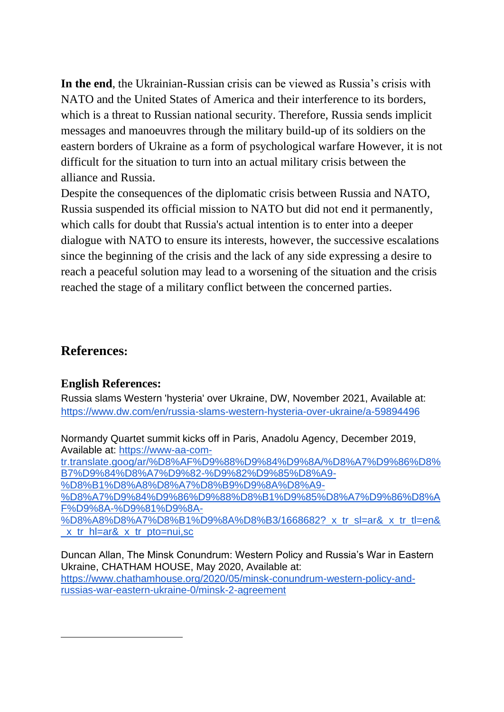**In the end**, the Ukrainian-Russian crisis can be viewed as Russia's crisis with NATO and the United States of America and their interference to its borders, which is a threat to Russian national security. Therefore, Russia sends implicit messages and manoeuvres through the military build-up of its soldiers on the eastern borders of Ukraine as a form of psychological warfare However, it is not difficult for the situation to turn into an actual military crisis between the alliance and Russia.

Despite the consequences of the diplomatic crisis between Russia and NATO, Russia suspended its official mission to NATO but did not end it permanently, which calls for doubt that Russia's actual intention is to enter into a deeper dialogue with NATO to ensure its interests, however, the successive escalations since the beginning of the crisis and the lack of any side expressing a desire to reach a peaceful solution may lead to a worsening of the situation and the crisis reached the stage of a military conflict between the concerned parties.

### **References:**

#### **English References:**

Russia slams Western 'hysteria' over Ukraine, DW, November 2021, Available at: <https://www.dw.com/en/russia-slams-western-hysteria-over-ukraine/a-59894496>

Normandy Quartet summit kicks off in Paris, Anadolu Agency, December 2019, Available at: [https://www-aa-com-](https://www-aa-com-tr.translate.goog/ar/%D8%AF%D9%88%D9%84%D9%8A/%D8%A7%D9%86%D8%B7%D9%84%D8%A7%D9%82-%D9%82%D9%85%D8%A9-%D8%B1%D8%A8%D8%A7%D8%B9%D9%8A%D8%A9-%D8%A7%D9%84%D9%86%D9%88%D8%B1%D9%85%D8%A7%D9%86%D8%AF%D9%8A-%D9%81%D9%8A-%D8%A8%D8%A7%D8%B1%D9%8A%D8%B3/1668682?_x_tr_sl=ar&_x_tr_tl=en&_x_tr_hl=ar&_x_tr_pto=nui,sc)

[tr.translate.goog/ar/%D8%AF%D9%88%D9%84%D9%8A/%D8%A7%D9%86%D8%](https://www-aa-com-tr.translate.goog/ar/%D8%AF%D9%88%D9%84%D9%8A/%D8%A7%D9%86%D8%B7%D9%84%D8%A7%D9%82-%D9%82%D9%85%D8%A9-%D8%B1%D8%A8%D8%A7%D8%B9%D9%8A%D8%A9-%D8%A7%D9%84%D9%86%D9%88%D8%B1%D9%85%D8%A7%D9%86%D8%AF%D9%8A-%D9%81%D9%8A-%D8%A8%D8%A7%D8%B1%D9%8A%D8%B3/1668682?_x_tr_sl=ar&_x_tr_tl=en&_x_tr_hl=ar&_x_tr_pto=nui,sc) [B7%D9%84%D8%A7%D9%82-%D9%82%D9%85%D8%A9-](https://www-aa-com-tr.translate.goog/ar/%D8%AF%D9%88%D9%84%D9%8A/%D8%A7%D9%86%D8%B7%D9%84%D8%A7%D9%82-%D9%82%D9%85%D8%A9-%D8%B1%D8%A8%D8%A7%D8%B9%D9%8A%D8%A9-%D8%A7%D9%84%D9%86%D9%88%D8%B1%D9%85%D8%A7%D9%86%D8%AF%D9%8A-%D9%81%D9%8A-%D8%A8%D8%A7%D8%B1%D9%8A%D8%B3/1668682?_x_tr_sl=ar&_x_tr_tl=en&_x_tr_hl=ar&_x_tr_pto=nui,sc)

[%D8%B1%D8%A8%D8%A7%D8%B9%D9%8A%D8%A9-](https://www-aa-com-tr.translate.goog/ar/%D8%AF%D9%88%D9%84%D9%8A/%D8%A7%D9%86%D8%B7%D9%84%D8%A7%D9%82-%D9%82%D9%85%D8%A9-%D8%B1%D8%A8%D8%A7%D8%B9%D9%8A%D8%A9-%D8%A7%D9%84%D9%86%D9%88%D8%B1%D9%85%D8%A7%D9%86%D8%AF%D9%8A-%D9%81%D9%8A-%D8%A8%D8%A7%D8%B1%D9%8A%D8%B3/1668682?_x_tr_sl=ar&_x_tr_tl=en&_x_tr_hl=ar&_x_tr_pto=nui,sc)

[%D8%A7%D9%84%D9%86%D9%88%D8%B1%D9%85%D8%A7%D9%86%D8%A](https://www-aa-com-tr.translate.goog/ar/%D8%AF%D9%88%D9%84%D9%8A/%D8%A7%D9%86%D8%B7%D9%84%D8%A7%D9%82-%D9%82%D9%85%D8%A9-%D8%B1%D8%A8%D8%A7%D8%B9%D9%8A%D8%A9-%D8%A7%D9%84%D9%86%D9%88%D8%B1%D9%85%D8%A7%D9%86%D8%AF%D9%8A-%D9%81%D9%8A-%D8%A8%D8%A7%D8%B1%D9%8A%D8%B3/1668682?_x_tr_sl=ar&_x_tr_tl=en&_x_tr_hl=ar&_x_tr_pto=nui,sc) [F%D9%8A-%D9%81%D9%8A-](https://www-aa-com-tr.translate.goog/ar/%D8%AF%D9%88%D9%84%D9%8A/%D8%A7%D9%86%D8%B7%D9%84%D8%A7%D9%82-%D9%82%D9%85%D8%A9-%D8%B1%D8%A8%D8%A7%D8%B9%D9%8A%D8%A9-%D8%A7%D9%84%D9%86%D9%88%D8%B1%D9%85%D8%A7%D9%86%D8%AF%D9%8A-%D9%81%D9%8A-%D8%A8%D8%A7%D8%B1%D9%8A%D8%B3/1668682?_x_tr_sl=ar&_x_tr_tl=en&_x_tr_hl=ar&_x_tr_pto=nui,sc)

[%D8%A8%D8%A7%D8%B1%D9%8A%D8%B3/1668682?\\_x\\_tr\\_sl=ar&\\_x\\_tr\\_tl=en&](https://www-aa-com-tr.translate.goog/ar/%D8%AF%D9%88%D9%84%D9%8A/%D8%A7%D9%86%D8%B7%D9%84%D8%A7%D9%82-%D9%82%D9%85%D8%A9-%D8%B1%D8%A8%D8%A7%D8%B9%D9%8A%D8%A9-%D8%A7%D9%84%D9%86%D9%88%D8%B1%D9%85%D8%A7%D9%86%D8%AF%D9%8A-%D9%81%D9%8A-%D8%A8%D8%A7%D8%B1%D9%8A%D8%B3/1668682?_x_tr_sl=ar&_x_tr_tl=en&_x_tr_hl=ar&_x_tr_pto=nui,sc) [\\_x\\_tr\\_hl=ar&\\_x\\_tr\\_pto=nui,sc](https://www-aa-com-tr.translate.goog/ar/%D8%AF%D9%88%D9%84%D9%8A/%D8%A7%D9%86%D8%B7%D9%84%D8%A7%D9%82-%D9%82%D9%85%D8%A9-%D8%B1%D8%A8%D8%A7%D8%B9%D9%8A%D8%A9-%D8%A7%D9%84%D9%86%D9%88%D8%B1%D9%85%D8%A7%D9%86%D8%AF%D9%8A-%D9%81%D9%8A-%D8%A8%D8%A7%D8%B1%D9%8A%D8%B3/1668682?_x_tr_sl=ar&_x_tr_tl=en&_x_tr_hl=ar&_x_tr_pto=nui,sc)

Duncan Allan, The Minsk Conundrum: Western Policy and Russia's War in Eastern Ukraine, CHATHAM HOUSE, May 2020, Available at: [https://www.chathamhouse.org/2020/05/minsk-conundrum-western-policy-and](https://www.chathamhouse.org/2020/05/minsk-conundrum-western-policy-and-russias-war-eastern-ukraine-0/minsk-2-agreement)[russias-war-eastern-ukraine-0/minsk-2-agreement](https://www.chathamhouse.org/2020/05/minsk-conundrum-western-policy-and-russias-war-eastern-ukraine-0/minsk-2-agreement)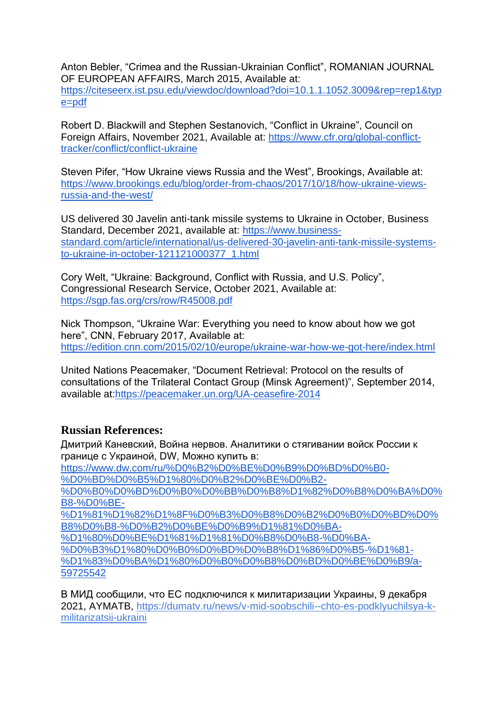Anton Bebler, "Crimea and the Russian-Ukrainian Conflict", ROMANIAN JOURNAL OF EUROPEAN AFFAIRS, March 2015, Available at:

[https://citeseerx.ist.psu.edu/viewdoc/download?doi=10.1.1.1052.3009&rep=rep1&typ](https://citeseerx.ist.psu.edu/viewdoc/download?doi=10.1.1.1052.3009&rep=rep1&type=pdf) [e=pdf](https://citeseerx.ist.psu.edu/viewdoc/download?doi=10.1.1.1052.3009&rep=rep1&type=pdf)

Robert D. Blackwill and Stephen Sestanovich, "Conflict in Ukraine", Council on Foreign Affairs, November 2021, Available at: [https://www.cfr.org/global-conflict](https://www.cfr.org/global-conflict-tracker/conflict/conflict-ukraine)[tracker/conflict/conflict-ukraine](https://www.cfr.org/global-conflict-tracker/conflict/conflict-ukraine)

Steven Pifer, "How Ukraine views Russia and the West", Brookings, Available at: [https://www.brookings.edu/blog/order-from-chaos/2017/10/18/how-ukraine-views](https://www.brookings.edu/blog/order-from-chaos/2017/10/18/how-ukraine-views-russia-and-the-west/)[russia-and-the-west/](https://www.brookings.edu/blog/order-from-chaos/2017/10/18/how-ukraine-views-russia-and-the-west/)

US delivered 30 Javelin anti-tank missile systems to Ukraine in October, Business Standard, December 2021, available at: [https://www.business](https://www.business-standard.com/article/international/us-delivered-30-javelin-anti-tank-missile-systems-to-ukraine-in-october-121121000377_1.html)[standard.com/article/international/us-delivered-30-javelin-anti-tank-missile-systems](https://www.business-standard.com/article/international/us-delivered-30-javelin-anti-tank-missile-systems-to-ukraine-in-october-121121000377_1.html)[to-ukraine-in-october-121121000377\\_1.html](https://www.business-standard.com/article/international/us-delivered-30-javelin-anti-tank-missile-systems-to-ukraine-in-october-121121000377_1.html)

Cory Welt, "Ukraine: Background, Conflict with Russia, and U.S. Policy", Congressional Research Service, October 2021, Available at: <https://sgp.fas.org/crs/row/R45008.pdf>

Nick Thompson, "Ukraine War: Everything you need to know about how we got here", CNN, February 2017, Available at: <https://edition.cnn.com/2015/02/10/europe/ukraine-war-how-we-got-here/index.html>

United Nations Peacemaker, "Document Retrieval: Protocol on the results of consultations of the Trilateral Contact Group (Minsk Agreement)", September 2014, available at[:https://peacemaker.un.org/UA-ceasefire-2014](https://peacemaker.un.org/UA-ceasefire-2014)

#### **Russian References:**

Дмитрий Каневский, Война нервов. Аналитики о стягивании войск России к границе с Украиной, DW, Можно купить в:

[https://www.dw.com/ru/%D0%B2%D0%BE%D0%B9%D0%BD%D0%B0-](https://www.dw.com/ru/%D0%B2%D0%BE%D0%B9%D0%BD%D0%B0-%D0%BD%D0%B5%D1%80%D0%B2%D0%BE%D0%B2-%D0%B0%D0%BD%D0%B0%D0%BB%D0%B8%D1%82%D0%B8%D0%BA%D0%B8-%D0%BE-%D1%81%D1%82%D1%8F%D0%B3%D0%B8%D0%B2%D0%B0%D0%BD%D0%B8%D0%B8-%D0%B2%D0%BE%D0%B9%D1%81%D0%BA-%D1%80%D0%BE%D1%81%D1%81%D0%B8%D0%B8-%D0%BA-%D0%B3%D1%80%D0%B0%D0%BD%D0%B8%D1%86%D0%B5-%D1%81-%D1%83%D0%BA%D1%80%D0%B0%D0%B8%D0%BD%D0%BE%D0%B9/a-59725542)

[%D0%BD%D0%B5%D1%80%D0%B2%D0%BE%D0%B2-](https://www.dw.com/ru/%D0%B2%D0%BE%D0%B9%D0%BD%D0%B0-%D0%BD%D0%B5%D1%80%D0%B2%D0%BE%D0%B2-%D0%B0%D0%BD%D0%B0%D0%BB%D0%B8%D1%82%D0%B8%D0%BA%D0%B8-%D0%BE-%D1%81%D1%82%D1%8F%D0%B3%D0%B8%D0%B2%D0%B0%D0%BD%D0%B8%D0%B8-%D0%B2%D0%BE%D0%B9%D1%81%D0%BA-%D1%80%D0%BE%D1%81%D1%81%D0%B8%D0%B8-%D0%BA-%D0%B3%D1%80%D0%B0%D0%BD%D0%B8%D1%86%D0%B5-%D1%81-%D1%83%D0%BA%D1%80%D0%B0%D0%B8%D0%BD%D0%BE%D0%B9/a-59725542)

[%D0%B0%D0%BD%D0%B0%D0%BB%D0%B8%D1%82%D0%B8%D0%BA%D0%](https://www.dw.com/ru/%D0%B2%D0%BE%D0%B9%D0%BD%D0%B0-%D0%BD%D0%B5%D1%80%D0%B2%D0%BE%D0%B2-%D0%B0%D0%BD%D0%B0%D0%BB%D0%B8%D1%82%D0%B8%D0%BA%D0%B8-%D0%BE-%D1%81%D1%82%D1%8F%D0%B3%D0%B8%D0%B2%D0%B0%D0%BD%D0%B8%D0%B8-%D0%B2%D0%BE%D0%B9%D1%81%D0%BA-%D1%80%D0%BE%D1%81%D1%81%D0%B8%D0%B8-%D0%BA-%D0%B3%D1%80%D0%B0%D0%BD%D0%B8%D1%86%D0%B5-%D1%81-%D1%83%D0%BA%D1%80%D0%B0%D0%B8%D0%BD%D0%BE%D0%B9/a-59725542) [B8-%D0%BE-](https://www.dw.com/ru/%D0%B2%D0%BE%D0%B9%D0%BD%D0%B0-%D0%BD%D0%B5%D1%80%D0%B2%D0%BE%D0%B2-%D0%B0%D0%BD%D0%B0%D0%BB%D0%B8%D1%82%D0%B8%D0%BA%D0%B8-%D0%BE-%D1%81%D1%82%D1%8F%D0%B3%D0%B8%D0%B2%D0%B0%D0%BD%D0%B8%D0%B8-%D0%B2%D0%BE%D0%B9%D1%81%D0%BA-%D1%80%D0%BE%D1%81%D1%81%D0%B8%D0%B8-%D0%BA-%D0%B3%D1%80%D0%B0%D0%BD%D0%B8%D1%86%D0%B5-%D1%81-%D1%83%D0%BA%D1%80%D0%B0%D0%B8%D0%BD%D0%BE%D0%B9/a-59725542)

[%D1%81%D1%82%D1%8F%D0%B3%D0%B8%D0%B2%D0%B0%D0%BD%D0%](https://www.dw.com/ru/%D0%B2%D0%BE%D0%B9%D0%BD%D0%B0-%D0%BD%D0%B5%D1%80%D0%B2%D0%BE%D0%B2-%D0%B0%D0%BD%D0%B0%D0%BB%D0%B8%D1%82%D0%B8%D0%BA%D0%B8-%D0%BE-%D1%81%D1%82%D1%8F%D0%B3%D0%B8%D0%B2%D0%B0%D0%BD%D0%B8%D0%B8-%D0%B2%D0%BE%D0%B9%D1%81%D0%BA-%D1%80%D0%BE%D1%81%D1%81%D0%B8%D0%B8-%D0%BA-%D0%B3%D1%80%D0%B0%D0%BD%D0%B8%D1%86%D0%B5-%D1%81-%D1%83%D0%BA%D1%80%D0%B0%D0%B8%D0%BD%D0%BE%D0%B9/a-59725542) [B8%D0%B8-%D0%B2%D0%BE%D0%B9%D1%81%D0%BA-](https://www.dw.com/ru/%D0%B2%D0%BE%D0%B9%D0%BD%D0%B0-%D0%BD%D0%B5%D1%80%D0%B2%D0%BE%D0%B2-%D0%B0%D0%BD%D0%B0%D0%BB%D0%B8%D1%82%D0%B8%D0%BA%D0%B8-%D0%BE-%D1%81%D1%82%D1%8F%D0%B3%D0%B8%D0%B2%D0%B0%D0%BD%D0%B8%D0%B8-%D0%B2%D0%BE%D0%B9%D1%81%D0%BA-%D1%80%D0%BE%D1%81%D1%81%D0%B8%D0%B8-%D0%BA-%D0%B3%D1%80%D0%B0%D0%BD%D0%B8%D1%86%D0%B5-%D1%81-%D1%83%D0%BA%D1%80%D0%B0%D0%B8%D0%BD%D0%BE%D0%B9/a-59725542)

[%D1%80%D0%BE%D1%81%D1%81%D0%B8%D0%B8-%D0%BA-](https://www.dw.com/ru/%D0%B2%D0%BE%D0%B9%D0%BD%D0%B0-%D0%BD%D0%B5%D1%80%D0%B2%D0%BE%D0%B2-%D0%B0%D0%BD%D0%B0%D0%BB%D0%B8%D1%82%D0%B8%D0%BA%D0%B8-%D0%BE-%D1%81%D1%82%D1%8F%D0%B3%D0%B8%D0%B2%D0%B0%D0%BD%D0%B8%D0%B8-%D0%B2%D0%BE%D0%B9%D1%81%D0%BA-%D1%80%D0%BE%D1%81%D1%81%D0%B8%D0%B8-%D0%BA-%D0%B3%D1%80%D0%B0%D0%BD%D0%B8%D1%86%D0%B5-%D1%81-%D1%83%D0%BA%D1%80%D0%B0%D0%B8%D0%BD%D0%BE%D0%B9/a-59725542)

[%D0%B3%D1%80%D0%B0%D0%BD%D0%B8%D1%86%D0%B5-%D1%81-](https://www.dw.com/ru/%D0%B2%D0%BE%D0%B9%D0%BD%D0%B0-%D0%BD%D0%B5%D1%80%D0%B2%D0%BE%D0%B2-%D0%B0%D0%BD%D0%B0%D0%BB%D0%B8%D1%82%D0%B8%D0%BA%D0%B8-%D0%BE-%D1%81%D1%82%D1%8F%D0%B3%D0%B8%D0%B2%D0%B0%D0%BD%D0%B8%D0%B8-%D0%B2%D0%BE%D0%B9%D1%81%D0%BA-%D1%80%D0%BE%D1%81%D1%81%D0%B8%D0%B8-%D0%BA-%D0%B3%D1%80%D0%B0%D0%BD%D0%B8%D1%86%D0%B5-%D1%81-%D1%83%D0%BA%D1%80%D0%B0%D0%B8%D0%BD%D0%BE%D0%B9/a-59725542) [%D1%83%D0%BA%D1%80%D0%B0%D0%B8%D0%BD%D0%BE%D0%B9/a-](https://www.dw.com/ru/%D0%B2%D0%BE%D0%B9%D0%BD%D0%B0-%D0%BD%D0%B5%D1%80%D0%B2%D0%BE%D0%B2-%D0%B0%D0%BD%D0%B0%D0%BB%D0%B8%D1%82%D0%B8%D0%BA%D0%B8-%D0%BE-%D1%81%D1%82%D1%8F%D0%B3%D0%B8%D0%B2%D0%B0%D0%BD%D0%B8%D0%B8-%D0%B2%D0%BE%D0%B9%D1%81%D0%BA-%D1%80%D0%BE%D1%81%D1%81%D0%B8%D0%B8-%D0%BA-%D0%B3%D1%80%D0%B0%D0%BD%D0%B8%D1%86%D0%B5-%D1%81-%D1%83%D0%BA%D1%80%D0%B0%D0%B8%D0%BD%D0%BE%D0%B9/a-59725542)[59725542](https://www.dw.com/ru/%D0%B2%D0%BE%D0%B9%D0%BD%D0%B0-%D0%BD%D0%B5%D1%80%D0%B2%D0%BE%D0%B2-%D0%B0%D0%BD%D0%B0%D0%BB%D0%B8%D1%82%D0%B8%D0%BA%D0%B8-%D0%BE-%D1%81%D1%82%D1%8F%D0%B3%D0%B8%D0%B2%D0%B0%D0%BD%D0%B8%D0%B8-%D0%B2%D0%BE%D0%B9%D1%81%D0%BA-%D1%80%D0%BE%D1%81%D1%81%D0%B8%D0%B8-%D0%BA-%D0%B3%D1%80%D0%B0%D0%BD%D0%B8%D1%86%D0%B5-%D1%81-%D1%83%D0%BA%D1%80%D0%B0%D0%B8%D0%BD%D0%BE%D0%B9/a-59725542) 

В МИД сообщили, что ЕС подключился к милитаризации Украины, 9 декабря 2021, AYMATB, [https://dumatv.ru/news/v-mid-soobschili--chto-es-podklyuchilsya-k](https://dumatv.ru/news/v-mid-soobschili--chto-es-podklyuchilsya-k-militarizatsii-ukraini)[militarizatsii-ukraini](https://dumatv.ru/news/v-mid-soobschili--chto-es-podklyuchilsya-k-militarizatsii-ukraini)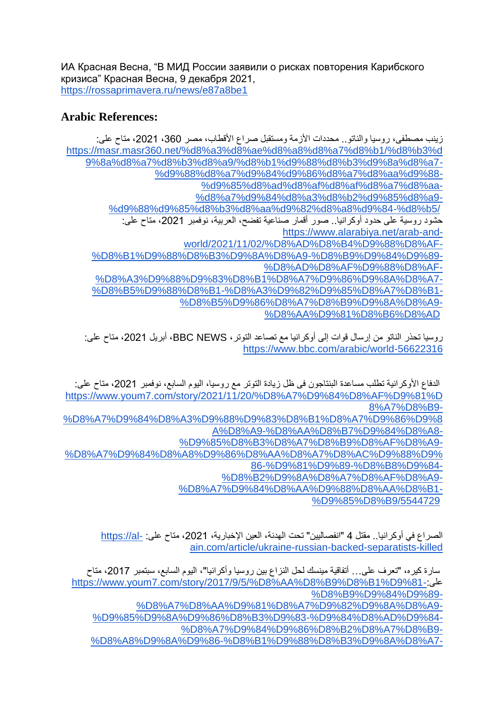ИА Красная Весна, "В МИД России заявили о рисках повторения Карибского кризиса" Красная Весна, 9 декабря 2021, <https://rossaprimavera.ru/news/e87a8be1>

#### **Arabic References:**

| زينب مصطفى، روسيا والناتو . محددات الأزمة ومستقبل صراع الأقطاب، مصر 360، 2021، مناح علي: |
|------------------------------------------------------------------------------------------|
| https://masr.masr360.net/%d8%a3%d8%ae%d8%a8%d8%a7%d8%b1/%d8%b3%d                         |
| 9%8a%d8%a7%d8%b3%d8%a9/%d8%b1%d9%88%d8%b3%d9%8a%d8%a7-                                   |
| %d9%88%d8%a7%d9%84%d9%86%d8%a7%d8%aa%d9%88-                                              |
| %d9%85%d8%ad%d8%af%d8%af%d8%a7%d8%aa-                                                    |
| %d8%a7%d9%84%d8%a3%d8%b2%d9%85%d8%a9-                                                    |
| %d9%88%d9%85%d8%b3%d8%aa%d9%82%d8%a8%d9%84-%d8%b5/                                       |
| حشود روسية على حدود أوكرانيا . صور أقمار صناعية تفضح، العربية، نوفمبر 2021، مناح علي:    |
|                                                                                          |
| https://www.alarabiya.net/arab-and-                                                      |
| world/2021/11/02/%D8%AD%D8%B4%D9%88%D8%AF-                                               |
| %D8%B1%D9%88%D8%B3%D9%8A%D8%A9-%D8%B9%D9%84%D9%89-                                       |
| %D8%AD%D8%AF%D9%88%D8%AF-                                                                |
| %D8%A3%D9%88%D9%83%D8%B1%D8%A7%D9%86%D9%8A%D8%A7-                                        |
| %D8%B5%D9%88%D8%B1-%D8%A3%D9%82%D9%85%D8%A7%D8%B1-                                       |
| %D8%B5%D9%86%D8%A7%D8%B9%D9%8A%D8%A9-                                                    |

روسيا تحذر الناتو من إرسال قوات إلى أوكرانيا مع تصاعد التوتر، BBC NEWS، أبريل 2021، متاح على: <https://www.bbc.com/arabic/world-56622316>

| الدفاع الأوكرانية نطلب مساعدة البنتاجون في ظل زيادة التوتر مع روسيا، اليوم السابع، نوفمبر 2021، متاح على: |
|-----------------------------------------------------------------------------------------------------------|
| https://www.youm7.com/story/2021/11/20/%D8%A7%D9%84%D8%AF%D9%81%D                                         |
| 8%A7%D8%B9-                                                                                               |
| %D8%A7%D9%84%D8%A3%D9%88%D9%83%D8%B1%D8%A7%D9%86%D9%8                                                     |
| A%D8%A9-%D8%AA%D8%B7%D9%84%D8%A8-                                                                         |
| %D9%85%D8%B3%D8%A7%D8%B9%D8%AF%D8%A9-                                                                     |
| %D8%A7%D9%84%D8%A8%D9%86%D8%AA%D8%A7%D8%AC%D9%88%D9%                                                      |
| 86-%D9%81%D9%89-%D8%B8%D9%84-                                                                             |
| %D8%B2%D9%8A%D8%A7%D8%AF%D8%A9-                                                                           |
| %D8%A7%D9%84%D8%AA%D9%88%D8%AA%D8%B1-                                                                     |
| %D9%85%D8%B9/5544729                                                                                      |

الصراع في أوكرانيا.. مقتل 4 "انفصاليين" تحت الهدنة، العين الإخبارية، 2021، متاح على: -https://al [ain.com/article/ukraine-russian-backed-separatists-killed](https://al-ain.com/article/ukraine-russian-backed-separatists-killed)

سارة كيره، "تعرف على... أتفاقية مينسك لحل النزاع بين روسيا وأكرانيا"، اليوم السابع، سبتمبر ،2017 متاح [https://www.youm7.com/story/2017/9/5/%D8%AA%D8%B9%D8%B1%D9%81-:](https://www.youm7.com/story/2017/9/5/%D8%AA%D8%B9%D8%B1%D9%81-%D8%B9%D9%84%D9%89-%D8%A7%D8%AA%D9%81%D8%A7%D9%82%D9%8A%D8%A9-%D9%85%D9%8A%D9%86%D8%B3%D9%83-%D9%84%D8%AD%D9%84-%D8%A7%D9%84%D9%86%D8%B2%D8%A7%D8%B9-%D8%A8%D9%8A%D9%86-%D8%B1%D9%88%D8%B3%D9%8A%D8%A7-%D9%88%D8%A3%D9%88%D9%83%D8%B1%D8%A7%D9%86%D9%8A%D8%A7/3399685)على [%D8%B9%D9%84%D9%89-](https://www.youm7.com/story/2017/9/5/%D8%AA%D8%B9%D8%B1%D9%81-%D8%B9%D9%84%D9%89-%D8%A7%D8%AA%D9%81%D8%A7%D9%82%D9%8A%D8%A9-%D9%85%D9%8A%D9%86%D8%B3%D9%83-%D9%84%D8%AD%D9%84-%D8%A7%D9%84%D9%86%D8%B2%D8%A7%D8%B9-%D8%A8%D9%8A%D9%86-%D8%B1%D9%88%D8%B3%D9%8A%D8%A7-%D9%88%D8%A3%D9%88%D9%83%D8%B1%D8%A7%D9%86%D9%8A%D8%A7/3399685) [%D8%A7%D8%AA%D9%81%D8%A7%D9%82%D9%8A%D8%A9-](https://www.youm7.com/story/2017/9/5/%D8%AA%D8%B9%D8%B1%D9%81-%D8%B9%D9%84%D9%89-%D8%A7%D8%AA%D9%81%D8%A7%D9%82%D9%8A%D8%A9-%D9%85%D9%8A%D9%86%D8%B3%D9%83-%D9%84%D8%AD%D9%84-%D8%A7%D9%84%D9%86%D8%B2%D8%A7%D8%B9-%D8%A8%D9%8A%D9%86-%D8%B1%D9%88%D8%B3%D9%8A%D8%A7-%D9%88%D8%A3%D9%88%D9%83%D8%B1%D8%A7%D9%86%D9%8A%D8%A7/3399685) [%D9%85%D9%8A%D9%86%D8%B3%D9%83-%D9%84%D8%AD%D9%84-](https://www.youm7.com/story/2017/9/5/%D8%AA%D8%B9%D8%B1%D9%81-%D8%B9%D9%84%D9%89-%D8%A7%D8%AA%D9%81%D8%A7%D9%82%D9%8A%D8%A9-%D9%85%D9%8A%D9%86%D8%B3%D9%83-%D9%84%D8%AD%D9%84-%D8%A7%D9%84%D9%86%D8%B2%D8%A7%D8%B9-%D8%A8%D9%8A%D9%86-%D8%B1%D9%88%D8%B3%D9%8A%D8%A7-%D9%88%D8%A3%D9%88%D9%83%D8%B1%D8%A7%D9%86%D9%8A%D8%A7/3399685) [%D8%A7%D9%84%D9%86%D8%B2%D8%A7%D8%B9-](https://www.youm7.com/story/2017/9/5/%D8%AA%D8%B9%D8%B1%D9%81-%D8%B9%D9%84%D9%89-%D8%A7%D8%AA%D9%81%D8%A7%D9%82%D9%8A%D8%A9-%D9%85%D9%8A%D9%86%D8%B3%D9%83-%D9%84%D8%AD%D9%84-%D8%A7%D9%84%D9%86%D8%B2%D8%A7%D8%B9-%D8%A8%D9%8A%D9%86-%D8%B1%D9%88%D8%B3%D9%8A%D8%A7-%D9%88%D8%A3%D9%88%D9%83%D8%B1%D8%A7%D9%86%D9%8A%D8%A7/3399685) [%D8%A8%D9%8A%D9%86-%D8%B1%D9%88%D8%B3%D9%8A%D8%A7-](https://www.youm7.com/story/2017/9/5/%D8%AA%D8%B9%D8%B1%D9%81-%D8%B9%D9%84%D9%89-%D8%A7%D8%AA%D9%81%D8%A7%D9%82%D9%8A%D8%A9-%D9%85%D9%8A%D9%86%D8%B3%D9%83-%D9%84%D8%AD%D9%84-%D8%A7%D9%84%D9%86%D8%B2%D8%A7%D8%B9-%D8%A8%D9%8A%D9%86-%D8%B1%D9%88%D8%B3%D9%8A%D8%A7-%D9%88%D8%A3%D9%88%D9%83%D8%B1%D8%A7%D9%86%D9%8A%D8%A7/3399685)